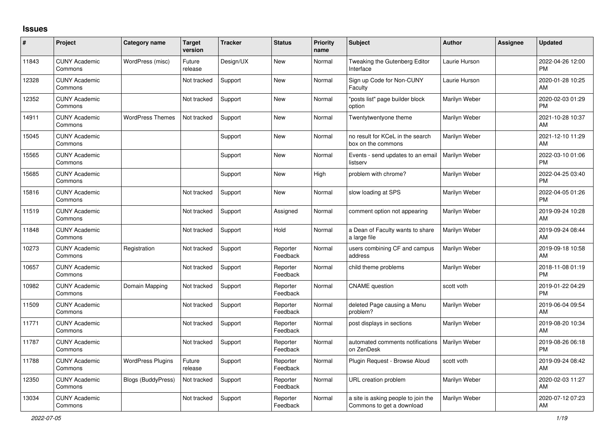## **Issues**

| ∦     | Project                         | <b>Category name</b>      | <b>Target</b><br>version | <b>Tracker</b> | <b>Status</b>        | <b>Priority</b><br>name | <b>Subject</b>                                                   | <b>Author</b>        | <b>Assignee</b> | <b>Updated</b>                |
|-------|---------------------------------|---------------------------|--------------------------|----------------|----------------------|-------------------------|------------------------------------------------------------------|----------------------|-----------------|-------------------------------|
| 11843 | <b>CUNY Academic</b><br>Commons | WordPress (misc)          | Future<br>release        | Design/UX      | <b>New</b>           | Normal                  | Tweaking the Gutenberg Editor<br>Interface                       | Laurie Hurson        |                 | 2022-04-26 12:00<br><b>PM</b> |
| 12328 | <b>CUNY Academic</b><br>Commons |                           | Not tracked              | Support        | <b>New</b>           | Normal                  | Sign up Code for Non-CUNY<br>Faculty                             | Laurie Hurson        |                 | 2020-01-28 10:25<br>AM        |
| 12352 | <b>CUNY Academic</b><br>Commons |                           | Not tracked              | Support        | <b>New</b>           | Normal                  | "posts list" page builder block<br>option                        | Marilyn Weber        |                 | 2020-02-03 01:29<br><b>PM</b> |
| 14911 | <b>CUNY Academic</b><br>Commons | <b>WordPress Themes</b>   | Not tracked              | Support        | New                  | Normal                  | Twentytwentyone theme                                            | Marilyn Weber        |                 | 2021-10-28 10:37<br>AM        |
| 15045 | <b>CUNY Academic</b><br>Commons |                           |                          | Support        | <b>New</b>           | Normal                  | no result for KCeL in the search<br>box on the commons           | Marilyn Weber        |                 | 2021-12-10 11:29<br>AM        |
| 15565 | <b>CUNY Academic</b><br>Commons |                           |                          | Support        | <b>New</b>           | Normal                  | Events - send updates to an email<br>listserv                    | <b>Marilyn Weber</b> |                 | 2022-03-10 01:06<br><b>PM</b> |
| 15685 | <b>CUNY Academic</b><br>Commons |                           |                          | Support        | <b>New</b>           | High                    | problem with chrome?                                             | Marilyn Weber        |                 | 2022-04-25 03:40<br><b>PM</b> |
| 15816 | <b>CUNY Academic</b><br>Commons |                           | Not tracked              | Support        | <b>New</b>           | Normal                  | slow loading at SPS                                              | Marilyn Weber        |                 | 2022-04-05 01:26<br><b>PM</b> |
| 11519 | <b>CUNY Academic</b><br>Commons |                           | Not tracked              | Support        | Assigned             | Normal                  | comment option not appearing                                     | Marilyn Weber        |                 | 2019-09-24 10:28<br>AM        |
| 11848 | <b>CUNY Academic</b><br>Commons |                           | Not tracked              | Support        | Hold                 | Normal                  | a Dean of Faculty wants to share<br>a large file                 | Marilyn Weber        |                 | 2019-09-24 08:44<br>AM        |
| 10273 | <b>CUNY Academic</b><br>Commons | Registration              | Not tracked              | Support        | Reporter<br>Feedback | Normal                  | users combining CF and campus<br>address                         | Marilyn Weber        |                 | 2019-09-18 10:58<br>AM        |
| 10657 | <b>CUNY Academic</b><br>Commons |                           | Not tracked              | Support        | Reporter<br>Feedback | Normal                  | child theme problems                                             | Marilyn Weber        |                 | 2018-11-08 01:19<br><b>PM</b> |
| 10982 | <b>CUNY Academic</b><br>Commons | Domain Mapping            | Not tracked              | Support        | Reporter<br>Feedback | Normal                  | <b>CNAME</b> question                                            | scott voth           |                 | 2019-01-22 04:29<br><b>PM</b> |
| 11509 | <b>CUNY Academic</b><br>Commons |                           | Not tracked              | Support        | Reporter<br>Feedback | Normal                  | deleted Page causing a Menu<br>problem?                          | Marilyn Weber        |                 | 2019-06-04 09:54<br>AM        |
| 11771 | <b>CUNY Academic</b><br>Commons |                           | Not tracked              | Support        | Reporter<br>Feedback | Normal                  | post displays in sections                                        | Marilyn Weber        |                 | 2019-08-20 10:34<br>AM        |
| 11787 | <b>CUNY Academic</b><br>Commons |                           | Not tracked              | Support        | Reporter<br>Feedback | Normal                  | automated comments notifications<br>on ZenDesk                   | Marilyn Weber        |                 | 2019-08-26 06:18<br><b>PM</b> |
| 11788 | <b>CUNY Academic</b><br>Commons | <b>WordPress Plugins</b>  | Future<br>release        | Support        | Reporter<br>Feedback | Normal                  | Plugin Request - Browse Aloud                                    | scott voth           |                 | 2019-09-24 08:42<br>AM        |
| 12350 | <b>CUNY Academic</b><br>Commons | <b>Blogs (BuddyPress)</b> | Not tracked              | Support        | Reporter<br>Feedback | Normal                  | URL creation problem                                             | Marilyn Weber        |                 | 2020-02-03 11:27<br>AM        |
| 13034 | <b>CUNY Academic</b><br>Commons |                           | Not tracked              | Support        | Reporter<br>Feedback | Normal                  | a site is asking people to join the<br>Commons to get a download | Marilyn Weber        |                 | 2020-07-12 07:23<br>AM        |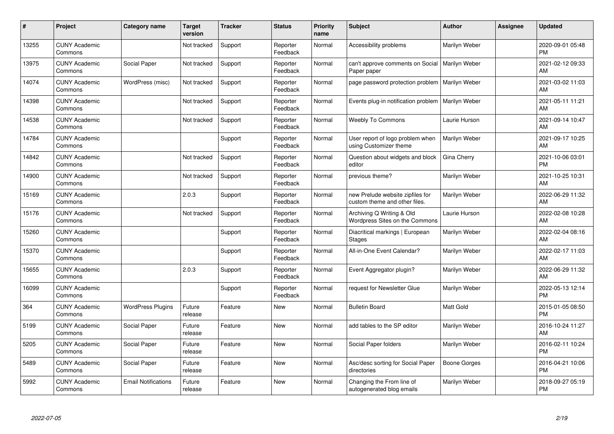| #     | Project                         | <b>Category name</b>       | <b>Target</b><br>version | <b>Tracker</b> | <b>Status</b>        | <b>Priority</b><br>name | <b>Subject</b>                                                    | <b>Author</b> | Assignee | <b>Updated</b>                |
|-------|---------------------------------|----------------------------|--------------------------|----------------|----------------------|-------------------------|-------------------------------------------------------------------|---------------|----------|-------------------------------|
| 13255 | <b>CUNY Academic</b><br>Commons |                            | Not tracked              | Support        | Reporter<br>Feedback | Normal                  | Accessibility problems                                            | Marilyn Weber |          | 2020-09-01 05:48<br><b>PM</b> |
| 13975 | <b>CUNY Academic</b><br>Commons | Social Paper               | Not tracked              | Support        | Reporter<br>Feedback | Normal                  | can't approve comments on Social<br>Paper paper                   | Marilyn Weber |          | 2021-02-12 09:33<br>AM        |
| 14074 | <b>CUNY Academic</b><br>Commons | WordPress (misc)           | Not tracked              | Support        | Reporter<br>Feedback | Normal                  | page password protection problem                                  | Marilyn Weber |          | 2021-03-02 11:03<br>AM        |
| 14398 | <b>CUNY Academic</b><br>Commons |                            | Not tracked              | Support        | Reporter<br>Feedback | Normal                  | Events plug-in notification problem                               | Marilyn Weber |          | 2021-05-11 11:21<br>AM        |
| 14538 | <b>CUNY Academic</b><br>Commons |                            | Not tracked              | Support        | Reporter<br>Feedback | Normal                  | <b>Weebly To Commons</b>                                          | Laurie Hurson |          | 2021-09-14 10:47<br>AM        |
| 14784 | <b>CUNY Academic</b><br>Commons |                            |                          | Support        | Reporter<br>Feedback | Normal                  | User report of logo problem when<br>using Customizer theme        | Marilyn Weber |          | 2021-09-17 10:25<br>AM        |
| 14842 | <b>CUNY Academic</b><br>Commons |                            | Not tracked              | Support        | Reporter<br>Feedback | Normal                  | Question about widgets and block<br>editor                        | Gina Cherry   |          | 2021-10-06 03:01<br><b>PM</b> |
| 14900 | <b>CUNY Academic</b><br>Commons |                            | Not tracked              | Support        | Reporter<br>Feedback | Normal                  | previous theme?                                                   | Marilyn Weber |          | 2021-10-25 10:31<br>AM        |
| 15169 | <b>CUNY Academic</b><br>Commons |                            | 2.0.3                    | Support        | Reporter<br>Feedback | Normal                  | new Prelude website zipfiles for<br>custom theme and other files. | Marilyn Weber |          | 2022-06-29 11:32<br>AM        |
| 15176 | <b>CUNY Academic</b><br>Commons |                            | Not tracked              | Support        | Reporter<br>Feedback | Normal                  | Archiving Q Writing & Old<br>Wordpress Sites on the Commons       | Laurie Hurson |          | 2022-02-08 10:28<br>AM        |
| 15260 | <b>CUNY Academic</b><br>Commons |                            |                          | Support        | Reporter<br>Feedback | Normal                  | Diacritical markings   European<br><b>Stages</b>                  | Marilyn Weber |          | 2022-02-04 08:16<br>AM        |
| 15370 | <b>CUNY Academic</b><br>Commons |                            |                          | Support        | Reporter<br>Feedback | Normal                  | All-in-One Event Calendar?                                        | Marilyn Weber |          | 2022-02-17 11:03<br>AM        |
| 15655 | <b>CUNY Academic</b><br>Commons |                            | 2.0.3                    | Support        | Reporter<br>Feedback | Normal                  | Event Aggregator plugin?                                          | Marilyn Weber |          | 2022-06-29 11:32<br>AM        |
| 16099 | <b>CUNY Academic</b><br>Commons |                            |                          | Support        | Reporter<br>Feedback | Normal                  | request for Newsletter Glue                                       | Marilyn Weber |          | 2022-05-13 12:14<br><b>PM</b> |
| 364   | <b>CUNY Academic</b><br>Commons | <b>WordPress Plugins</b>   | Future<br>release        | Feature        | <b>New</b>           | Normal                  | <b>Bulletin Board</b>                                             | Matt Gold     |          | 2015-01-05 08:50<br><b>PM</b> |
| 5199  | <b>CUNY Academic</b><br>Commons | Social Paper               | Future<br>release        | Feature        | New                  | Normal                  | add tables to the SP editor                                       | Marilyn Weber |          | 2016-10-24 11:27<br>AM        |
| 5205  | <b>CUNY Academic</b><br>Commons | Social Paper               | Future<br>release        | Feature        | New                  | Normal                  | Social Paper folders                                              | Marilyn Weber |          | 2016-02-11 10:24<br><b>PM</b> |
| 5489  | <b>CUNY Academic</b><br>Commons | Social Paper               | Future<br>release        | Feature        | New                  | Normal                  | Asc/desc sorting for Social Paper<br>directories                  | Boone Gorges  |          | 2016-04-21 10:06<br><b>PM</b> |
| 5992  | <b>CUNY Academic</b><br>Commons | <b>Email Notifications</b> | Future<br>release        | Feature        | <b>New</b>           | Normal                  | Changing the From line of<br>autogenerated blog emails            | Marilyn Weber |          | 2018-09-27 05:19<br><b>PM</b> |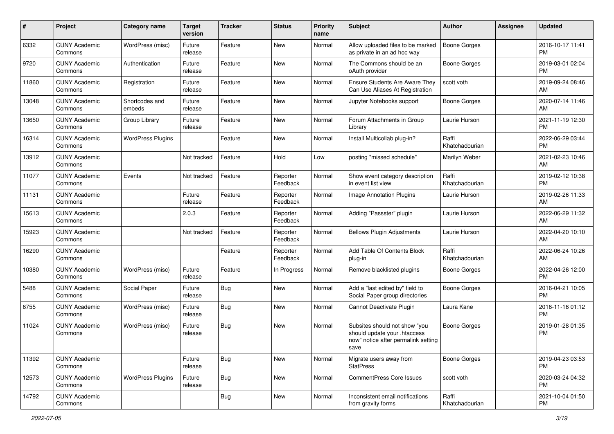| #     | Project                         | <b>Category name</b>     | <b>Target</b><br>version | <b>Tracker</b> | <b>Status</b>        | Priority<br>name | Subject                                                                                                      | <b>Author</b>           | <b>Assignee</b> | <b>Updated</b>                |
|-------|---------------------------------|--------------------------|--------------------------|----------------|----------------------|------------------|--------------------------------------------------------------------------------------------------------------|-------------------------|-----------------|-------------------------------|
| 6332  | <b>CUNY Academic</b><br>Commons | WordPress (misc)         | Future<br>release        | Feature        | <b>New</b>           | Normal           | Allow uploaded files to be marked<br>as private in an ad hoc way                                             | <b>Boone Gorges</b>     |                 | 2016-10-17 11:41<br><b>PM</b> |
| 9720  | <b>CUNY Academic</b><br>Commons | Authentication           | Future<br>release        | Feature        | New                  | Normal           | The Commons should be an<br>oAuth provider                                                                   | <b>Boone Gorges</b>     |                 | 2019-03-01 02:04<br><b>PM</b> |
| 11860 | <b>CUNY Academic</b><br>Commons | Registration             | Future<br>release        | Feature        | <b>New</b>           | Normal           | Ensure Students Are Aware They<br>Can Use Aliases At Registration                                            | scott voth              |                 | 2019-09-24 08:46<br>AM        |
| 13048 | <b>CUNY Academic</b><br>Commons | Shortcodes and<br>embeds | Future<br>release        | Feature        | <b>New</b>           | Normal           | Jupyter Notebooks support                                                                                    | <b>Boone Gorges</b>     |                 | 2020-07-14 11:46<br>AM        |
| 13650 | <b>CUNY Academic</b><br>Commons | Group Library            | Future<br>release        | Feature        | <b>New</b>           | Normal           | Forum Attachments in Group<br>Library                                                                        | Laurie Hurson           |                 | 2021-11-19 12:30<br><b>PM</b> |
| 16314 | <b>CUNY Academic</b><br>Commons | <b>WordPress Plugins</b> |                          | Feature        | <b>New</b>           | Normal           | Install Multicollab plug-in?                                                                                 | Raffi<br>Khatchadourian |                 | 2022-06-29 03:44<br><b>PM</b> |
| 13912 | <b>CUNY Academic</b><br>Commons |                          | Not tracked              | Feature        | Hold                 | Low              | posting "missed schedule"                                                                                    | Marilyn Weber           |                 | 2021-02-23 10:46<br>AM        |
| 11077 | <b>CUNY Academic</b><br>Commons | Events                   | Not tracked              | Feature        | Reporter<br>Feedback | Normal           | Show event category description<br>in event list view                                                        | Raffi<br>Khatchadourian |                 | 2019-02-12 10:38<br><b>PM</b> |
| 11131 | <b>CUNY Academic</b><br>Commons |                          | Future<br>release        | Feature        | Reporter<br>Feedback | Normal           | Image Annotation Plugins                                                                                     | Laurie Hurson           |                 | 2019-02-26 11:33<br>AM        |
| 15613 | <b>CUNY Academic</b><br>Commons |                          | 2.0.3                    | Feature        | Reporter<br>Feedback | Normal           | Adding "Passster" plugin                                                                                     | Laurie Hurson           |                 | 2022-06-29 11:32<br>AM        |
| 15923 | <b>CUNY Academic</b><br>Commons |                          | Not tracked              | Feature        | Reporter<br>Feedback | Normal           | <b>Bellows Plugin Adjustments</b>                                                                            | Laurie Hurson           |                 | 2022-04-20 10:10<br>AM        |
| 16290 | <b>CUNY Academic</b><br>Commons |                          |                          | Feature        | Reporter<br>Feedback | Normal           | Add Table Of Contents Block<br>plug-in                                                                       | Raffi<br>Khatchadourian |                 | 2022-06-24 10:26<br>AM        |
| 10380 | <b>CUNY Academic</b><br>Commons | WordPress (misc)         | Future<br>release        | Feature        | In Progress          | Normal           | Remove blacklisted plugins                                                                                   | <b>Boone Gorges</b>     |                 | 2022-04-26 12:00<br><b>PM</b> |
| 5488  | <b>CUNY Academic</b><br>Commons | Social Paper             | Future<br>release        | Bug            | <b>New</b>           | Normal           | Add a "last edited by" field to<br>Social Paper group directories                                            | <b>Boone Gorges</b>     |                 | 2016-04-21 10:05<br><b>PM</b> |
| 6755  | <b>CUNY Academic</b><br>Commons | WordPress (misc)         | Future<br>release        | <b>Bug</b>     | <b>New</b>           | Normal           | Cannot Deactivate Plugin                                                                                     | Laura Kane              |                 | 2016-11-16 01:12<br><b>PM</b> |
| 11024 | <b>CUNY Academic</b><br>Commons | WordPress (misc)         | Future<br>release        | Bug            | New                  | Normal           | Subsites should not show "you<br>should update your .htaccess<br>now" notice after permalink setting<br>save | <b>Boone Gorges</b>     |                 | 2019-01-28 01:35<br>PM        |
| 11392 | <b>CUNY Academic</b><br>Commons |                          | Future<br>release        | Bug            | New                  | Normal           | Migrate users away from<br><b>StatPress</b>                                                                  | Boone Gorges            |                 | 2019-04-23 03:53<br>PM        |
| 12573 | <b>CUNY Academic</b><br>Commons | <b>WordPress Plugins</b> | Future<br>release        | <b>Bug</b>     | New                  | Normal           | CommentPress Core Issues                                                                                     | scott voth              |                 | 2020-03-24 04:32<br><b>PM</b> |
| 14792 | <b>CUNY Academic</b><br>Commons |                          |                          | <b>Bug</b>     | New                  | Normal           | Inconsistent email notifications<br>from gravity forms                                                       | Raffi<br>Khatchadourian |                 | 2021-10-04 01:50<br><b>PM</b> |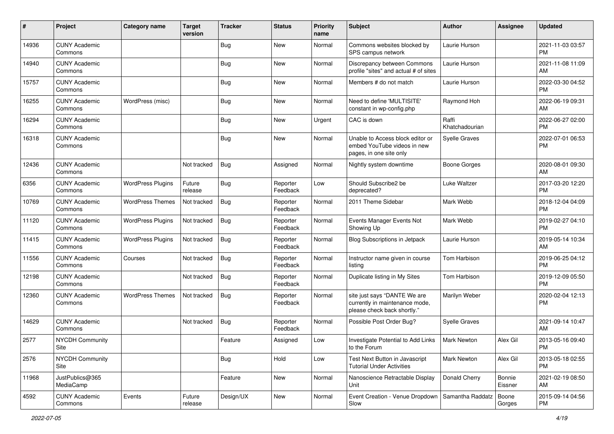| #     | Project                         | <b>Category name</b>     | <b>Target</b><br>version | <b>Tracker</b> | <b>Status</b>        | <b>Priority</b><br>name | <b>Subject</b>                                                                                | <b>Author</b>           | <b>Assignee</b>   | <b>Updated</b>                |
|-------|---------------------------------|--------------------------|--------------------------|----------------|----------------------|-------------------------|-----------------------------------------------------------------------------------------------|-------------------------|-------------------|-------------------------------|
| 14936 | <b>CUNY Academic</b><br>Commons |                          |                          | <b>Bug</b>     | New                  | Normal                  | Commons websites blocked by<br>SPS campus network                                             | Laurie Hurson           |                   | 2021-11-03 03:57<br>PM.       |
| 14940 | <b>CUNY Academic</b><br>Commons |                          |                          | <b>Bug</b>     | New                  | Normal                  | Discrepancy between Commons<br>profile "sites" and actual # of sites                          | Laurie Hurson           |                   | 2021-11-08 11:09<br>AM        |
| 15757 | <b>CUNY Academic</b><br>Commons |                          |                          | <b>Bug</b>     | New                  | Normal                  | Members # do not match                                                                        | Laurie Hurson           |                   | 2022-03-30 04:52<br><b>PM</b> |
| 16255 | <b>CUNY Academic</b><br>Commons | WordPress (misc)         |                          | Bug            | New                  | Normal                  | Need to define 'MULTISITE'<br>constant in wp-config.php                                       | Raymond Hoh             |                   | 2022-06-19 09:31<br>AM        |
| 16294 | <b>CUNY Academic</b><br>Commons |                          |                          | <b>Bug</b>     | New                  | Urgent                  | CAC is down                                                                                   | Raffi<br>Khatchadourian |                   | 2022-06-27 02:00<br><b>PM</b> |
| 16318 | <b>CUNY Academic</b><br>Commons |                          |                          | <b>Bug</b>     | New                  | Normal                  | Unable to Access block editor or<br>embed YouTube videos in new<br>pages, in one site only    | <b>Syelle Graves</b>    |                   | 2022-07-01 06:53<br><b>PM</b> |
| 12436 | <b>CUNY Academic</b><br>Commons |                          | Not tracked              | Bug            | Assigned             | Normal                  | Nightly system downtime                                                                       | <b>Boone Gorges</b>     |                   | 2020-08-01 09:30<br>AM        |
| 6356  | <b>CUNY Academic</b><br>Commons | <b>WordPress Plugins</b> | Future<br>release        | Bug            | Reporter<br>Feedback | Low                     | Should Subscribe2 be<br>deprecated?                                                           | Luke Waltzer            |                   | 2017-03-20 12:20<br><b>PM</b> |
| 10769 | <b>CUNY Academic</b><br>Commons | <b>WordPress Themes</b>  | Not tracked              | Bug            | Reporter<br>Feedback | Normal                  | 2011 Theme Sidebar                                                                            | Mark Webb               |                   | 2018-12-04 04:09<br><b>PM</b> |
| 11120 | <b>CUNY Academic</b><br>Commons | <b>WordPress Plugins</b> | Not tracked              | Bug            | Reporter<br>Feedback | Normal                  | Events Manager Events Not<br>Showing Up                                                       | Mark Webb               |                   | 2019-02-27 04:10<br><b>PM</b> |
| 11415 | <b>CUNY Academic</b><br>Commons | <b>WordPress Plugins</b> | Not tracked              | <b>Bug</b>     | Reporter<br>Feedback | Normal                  | Blog Subscriptions in Jetpack                                                                 | Laurie Hurson           |                   | 2019-05-14 10:34<br>AM        |
| 11556 | <b>CUNY Academic</b><br>Commons | Courses                  | Not tracked              | Bug            | Reporter<br>Feedback | Normal                  | Instructor name given in course<br>listing                                                    | Tom Harbison            |                   | 2019-06-25 04:12<br><b>PM</b> |
| 12198 | <b>CUNY Academic</b><br>Commons |                          | Not tracked              | Bug            | Reporter<br>Feedback | Normal                  | Duplicate listing in My Sites                                                                 | Tom Harbison            |                   | 2019-12-09 05:50<br><b>PM</b> |
| 12360 | <b>CUNY Academic</b><br>Commons | <b>WordPress Themes</b>  | Not tracked              | Bug            | Reporter<br>Feedback | Normal                  | site just says "DANTE We are<br>currently in maintenance mode,<br>please check back shortly." | Marilyn Weber           |                   | 2020-02-04 12:13<br><b>PM</b> |
| 14629 | <b>CUNY Academic</b><br>Commons |                          | Not tracked              | Bug            | Reporter<br>Feedback | Normal                  | Possible Post Order Bug?                                                                      | <b>Syelle Graves</b>    |                   | 2021-09-14 10:47<br>AM        |
| 2577  | <b>NYCDH Community</b><br>Site  |                          |                          | Feature        | Assigned             | Low                     | Investigate Potential to Add Links<br>to the Forum                                            | <b>Mark Newton</b>      | Alex Gil          | 2013-05-16 09:40<br><b>PM</b> |
| 2576  | <b>NYCDH Community</b><br>Site  |                          |                          | Bug            | Hold                 | Low                     | Test Next Button in Javascript<br>Tutorial Under Activities                                   | Mark Newton             | Alex Gil          | 2013-05-18 02:55<br>PM.       |
| 11968 | JustPublics@365<br>MediaCamp    |                          |                          | Feature        | New                  | Normal                  | Nanoscience Retractable Display<br>Unit                                                       | Donald Cherry           | Bonnie<br>Eissner | 2021-02-19 08:50<br>AM        |
| 4592  | <b>CUNY Academic</b><br>Commons | Events                   | Future<br>release        | Design/UX      | New                  | Normal                  | Event Creation - Venue Dropdown   Samantha Raddatz  <br>Slow                                  |                         | Boone<br>Gorges   | 2015-09-14 04:56<br><b>PM</b> |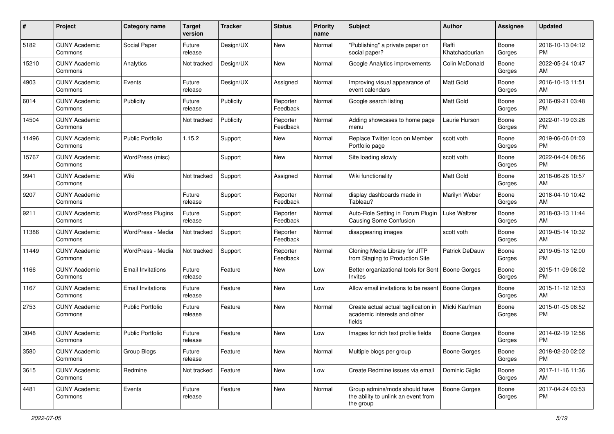| #     | Project                         | <b>Category name</b>     | <b>Target</b><br>version | Tracker   | <b>Status</b>        | <b>Priority</b><br>name | <b>Subject</b>                                                                    | <b>Author</b>           | <b>Assignee</b> | <b>Updated</b>                |
|-------|---------------------------------|--------------------------|--------------------------|-----------|----------------------|-------------------------|-----------------------------------------------------------------------------------|-------------------------|-----------------|-------------------------------|
| 5182  | <b>CUNY Academic</b><br>Commons | Social Paper             | Future<br>release        | Design/UX | New                  | Normal                  | "Publishing" a private paper on<br>social paper?                                  | Raffi<br>Khatchadourian | Boone<br>Gorges | 2016-10-13 04:12<br>PM.       |
| 15210 | <b>CUNY Academic</b><br>Commons | Analytics                | Not tracked              | Design/UX | New                  | Normal                  | Google Analytics improvements                                                     | Colin McDonald          | Boone<br>Gorges | 2022-05-24 10:47<br>AM        |
| 4903  | <b>CUNY Academic</b><br>Commons | Events                   | Future<br>release        | Design/UX | Assigned             | Normal                  | Improving visual appearance of<br>event calendars                                 | Matt Gold               | Boone<br>Gorges | 2016-10-13 11:51<br>AM        |
| 6014  | <b>CUNY Academic</b><br>Commons | Publicity                | Future<br>release        | Publicity | Reporter<br>Feedback | Normal                  | Google search listing                                                             | <b>Matt Gold</b>        | Boone<br>Gorges | 2016-09-21 03:48<br><b>PM</b> |
| 14504 | <b>CUNY Academic</b><br>Commons |                          | Not tracked              | Publicity | Reporter<br>Feedback | Normal                  | Adding showcases to home page<br>menu                                             | Laurie Hurson           | Boone<br>Gorges | 2022-01-19 03:26<br><b>PM</b> |
| 11496 | <b>CUNY Academic</b><br>Commons | <b>Public Portfolio</b>  | 1.15.2                   | Support   | New                  | Normal                  | Replace Twitter Icon on Member<br>Portfolio page                                  | scott voth              | Boone<br>Gorges | 2019-06-06 01:03<br><b>PM</b> |
| 15767 | <b>CUNY Academic</b><br>Commons | WordPress (misc)         |                          | Support   | New                  | Normal                  | Site loading slowly                                                               | scott voth              | Boone<br>Gorges | 2022-04-04 08:56<br><b>PM</b> |
| 9941  | <b>CUNY Academic</b><br>Commons | Wiki                     | Not tracked              | Support   | Assigned             | Normal                  | Wiki functionality                                                                | <b>Matt Gold</b>        | Boone<br>Gorges | 2018-06-26 10:57<br>AM        |
| 9207  | <b>CUNY Academic</b><br>Commons |                          | Future<br>release        | Support   | Reporter<br>Feedback | Normal                  | display dashboards made in<br>Tableau?                                            | Marilyn Weber           | Boone<br>Gorges | 2018-04-10 10:42<br>AM        |
| 9211  | <b>CUNY Academic</b><br>Commons | <b>WordPress Plugins</b> | Future<br>release        | Support   | Reporter<br>Feedback | Normal                  | Auto-Role Setting in Forum Plugin<br>Causing Some Confusion                       | Luke Waltzer            | Boone<br>Gorges | 2018-03-13 11:44<br>AM        |
| 11386 | <b>CUNY Academic</b><br>Commons | WordPress - Media        | Not tracked              | Support   | Reporter<br>Feedback | Normal                  | disappearing images                                                               | scott voth              | Boone<br>Gorges | 2019-05-14 10:32<br>AM        |
| 11449 | <b>CUNY Academic</b><br>Commons | WordPress - Media        | Not tracked              | Support   | Reporter<br>Feedback | Normal                  | Cloning Media Library for JITP<br>from Staging to Production Site                 | Patrick DeDauw          | Boone<br>Gorges | 2019-05-13 12:00<br><b>PM</b> |
| 1166  | <b>CUNY Academic</b><br>Commons | <b>Email Invitations</b> | Future<br>release        | Feature   | New                  | Low                     | Better organizational tools for Sent<br>Invites                                   | Boone Gorges            | Boone<br>Gorges | 2015-11-09 06:02<br><b>PM</b> |
| 1167  | <b>CUNY Academic</b><br>Commons | <b>Email Invitations</b> | Future<br>release        | Feature   | New                  | Low                     | Allow email invitations to be resent                                              | <b>Boone Gorges</b>     | Boone<br>Gorges | 2015-11-12 12:53<br>AM        |
| 2753  | <b>CUNY Academic</b><br>Commons | <b>Public Portfolio</b>  | Future<br>release        | Feature   | New                  | Normal                  | Create actual actual tagification in<br>academic interests and other<br>fields    | Micki Kaufman           | Boone<br>Gorges | 2015-01-05 08:52<br>PM        |
| 3048  | <b>CUNY Academic</b><br>Commons | <b>Public Portfolio</b>  | Future<br>release        | Feature   | New                  | Low                     | Images for rich text profile fields                                               | <b>Boone Gorges</b>     | Boone<br>Gorges | 2014-02-19 12:56<br>PM        |
| 3580  | <b>CUNY Academic</b><br>Commons | Group Blogs              | Future<br>release        | Feature   | New                  | Normal                  | Multiple blogs per group                                                          | <b>Boone Gorges</b>     | Boone<br>Gorges | 2018-02-20 02:02<br><b>PM</b> |
| 3615  | <b>CUNY Academic</b><br>Commons | Redmine                  | Not tracked              | Feature   | New                  | Low                     | Create Redmine issues via email                                                   | Dominic Giglio          | Boone<br>Gorges | 2017-11-16 11:36<br>AM        |
| 4481  | <b>CUNY Academic</b><br>Commons | Events                   | Future<br>release        | Feature   | New                  | Normal                  | Group admins/mods should have<br>the ability to unlink an event from<br>the group | Boone Gorges            | Boone<br>Gorges | 2017-04-24 03:53<br>PM        |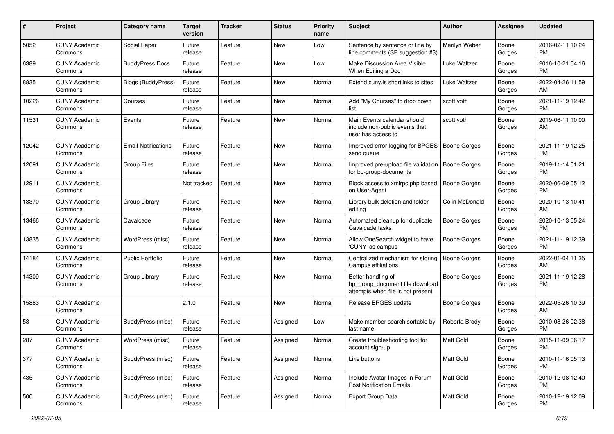| #     | Project                         | <b>Category name</b>       | <b>Target</b><br>version | <b>Tracker</b> | <b>Status</b> | <b>Priority</b><br>name | <b>Subject</b>                                                                             | Author              | Assignee        | <b>Updated</b>                |
|-------|---------------------------------|----------------------------|--------------------------|----------------|---------------|-------------------------|--------------------------------------------------------------------------------------------|---------------------|-----------------|-------------------------------|
| 5052  | <b>CUNY Academic</b><br>Commons | Social Paper               | Future<br>release        | Feature        | <b>New</b>    | Low                     | Sentence by sentence or line by<br>line comments (SP suggestion #3)                        | Marilyn Weber       | Boone<br>Gorges | 2016-02-11 10:24<br>PM        |
| 6389  | <b>CUNY Academic</b><br>Commons | <b>BuddyPress Docs</b>     | Future<br>release        | Feature        | New           | Low                     | Make Discussion Area Visible<br>When Editing a Doc                                         | Luke Waltzer        | Boone<br>Gorges | 2016-10-21 04:16<br><b>PM</b> |
| 8835  | <b>CUNY Academic</b><br>Commons | <b>Blogs (BuddyPress)</b>  | Future<br>release        | Feature        | New           | Normal                  | Extend cuny.is shortlinks to sites                                                         | Luke Waltzer        | Boone<br>Gorges | 2022-04-26 11:59<br>AM        |
| 10226 | <b>CUNY Academic</b><br>Commons | Courses                    | Future<br>release        | Feature        | New           | Normal                  | Add "My Courses" to drop down<br>list                                                      | scott voth          | Boone<br>Gorges | 2021-11-19 12:42<br><b>PM</b> |
| 11531 | <b>CUNY Academic</b><br>Commons | Events                     | Future<br>release        | Feature        | New           | Normal                  | Main Events calendar should<br>include non-public events that<br>user has access to        | scott voth          | Boone<br>Gorges | 2019-06-11 10:00<br>AM        |
| 12042 | <b>CUNY Academic</b><br>Commons | <b>Email Notifications</b> | Future<br>release        | Feature        | New           | Normal                  | Improved error logging for BPGES<br>send queue                                             | Boone Gorges        | Boone<br>Gorges | 2021-11-19 12:25<br><b>PM</b> |
| 12091 | <b>CUNY Academic</b><br>Commons | <b>Group Files</b>         | Future<br>release        | Feature        | New           | Normal                  | Improved pre-upload file validation<br>for bp-group-documents                              | <b>Boone Gorges</b> | Boone<br>Gorges | 2019-11-14 01:21<br><b>PM</b> |
| 12911 | <b>CUNY Academic</b><br>Commons |                            | Not tracked              | Feature        | New           | Normal                  | Block access to xmlrpc.php based<br>on User-Agent                                          | <b>Boone Gorges</b> | Boone<br>Gorges | 2020-06-09 05:12<br><b>PM</b> |
| 13370 | <b>CUNY Academic</b><br>Commons | Group Library              | Future<br>release        | Feature        | <b>New</b>    | Normal                  | Library bulk deletion and folder<br>editing                                                | Colin McDonald      | Boone<br>Gorges | 2020-10-13 10:41<br>AM        |
| 13466 | <b>CUNY Academic</b><br>Commons | Cavalcade                  | Future<br>release        | Feature        | New           | Normal                  | Automated cleanup for duplicate<br>Cavalcade tasks                                         | <b>Boone Gorges</b> | Boone<br>Gorges | 2020-10-13 05:24<br><b>PM</b> |
| 13835 | <b>CUNY Academic</b><br>Commons | WordPress (misc)           | Future<br>release        | Feature        | <b>New</b>    | Normal                  | Allow OneSearch widget to have<br>'CUNY' as campus                                         | Boone Gorges        | Boone<br>Gorges | 2021-11-19 12:39<br><b>PM</b> |
| 14184 | <b>CUNY Academic</b><br>Commons | <b>Public Portfolio</b>    | Future<br>release        | Feature        | <b>New</b>    | Normal                  | Centralized mechanism for storing<br>Campus affiliations                                   | <b>Boone Gorges</b> | Boone<br>Gorges | 2022-01-04 11:35<br>AM        |
| 14309 | <b>CUNY Academic</b><br>Commons | Group Library              | Future<br>release        | Feature        | New           | Normal                  | Better handling of<br>bp_group_document file download<br>attempts when file is not present | Boone Gorges        | Boone<br>Gorges | 2021-11-19 12:28<br><b>PM</b> |
| 15883 | <b>CUNY Academic</b><br>Commons |                            | 2.1.0                    | Feature        | <b>New</b>    | Normal                  | Release BPGES update                                                                       | Boone Gorges        | Boone<br>Gorges | 2022-05-26 10:39<br>AM        |
| 58    | <b>CUNY Academic</b><br>Commons | BuddyPress (misc)          | Future<br>release        | Feature        | Assigned      | Low                     | Make member search sortable by<br>last name                                                | Roberta Brody       | Boone<br>Gorges | 2010-08-26 02:38<br><b>PM</b> |
| 287   | <b>CUNY Academic</b><br>Commons | WordPress (misc)           | Future<br>release        | Feature        | Assigned      | Normal                  | Create troubleshooting tool for<br>account sign-up                                         | <b>Matt Gold</b>    | Boone<br>Gorges | 2015-11-09 06:17<br>PM        |
| 377   | <b>CUNY Academic</b><br>Commons | BuddyPress (misc)          | Future<br>release        | Feature        | Assigned      | Normal                  | Like buttons                                                                               | Matt Gold           | Boone<br>Gorges | 2010-11-16 05:13<br><b>PM</b> |
| 435   | <b>CUNY Academic</b><br>Commons | BuddyPress (misc)          | Future<br>release        | Feature        | Assigned      | Normal                  | Include Avatar Images in Forum<br><b>Post Notification Emails</b>                          | Matt Gold           | Boone<br>Gorges | 2010-12-08 12:40<br><b>PM</b> |
| 500   | <b>CUNY Academic</b><br>Commons | BuddyPress (misc)          | Future<br>release        | Feature        | Assigned      | Normal                  | Export Group Data                                                                          | Matt Gold           | Boone<br>Gorges | 2010-12-19 12:09<br><b>PM</b> |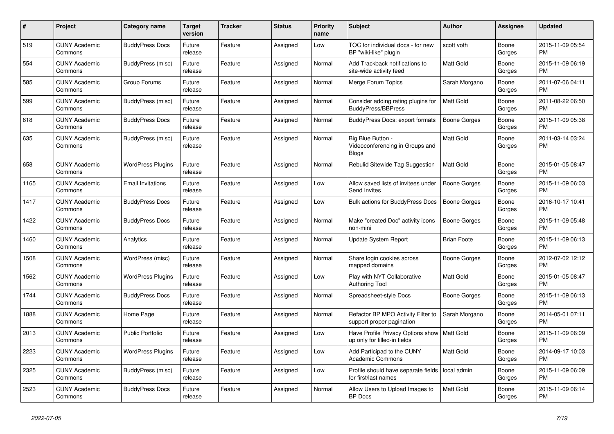| #    | <b>Project</b>                  | Category name            | Target<br>version | <b>Tracker</b> | <b>Status</b> | <b>Priority</b><br>name | <b>Subject</b>                                                       | <b>Author</b>       | Assignee        | <b>Updated</b>                |
|------|---------------------------------|--------------------------|-------------------|----------------|---------------|-------------------------|----------------------------------------------------------------------|---------------------|-----------------|-------------------------------|
| 519  | <b>CUNY Academic</b><br>Commons | <b>BuddyPress Docs</b>   | Future<br>release | Feature        | Assigned      | Low                     | TOC for individual docs - for new<br>BP "wiki-like" plugin           | scott voth          | Boone<br>Gorges | 2015-11-09 05:54<br><b>PM</b> |
| 554  | <b>CUNY Academic</b><br>Commons | BuddyPress (misc)        | Future<br>release | Feature        | Assigned      | Normal                  | Add Trackback notifications to<br>site-wide activity feed            | <b>Matt Gold</b>    | Boone<br>Gorges | 2015-11-09 06:19<br>PM.       |
| 585  | <b>CUNY Academic</b><br>Commons | Group Forums             | Future<br>release | Feature        | Assigned      | Normal                  | Merge Forum Topics                                                   | Sarah Morgano       | Boone<br>Gorges | 2011-07-06 04:11<br><b>PM</b> |
| 599  | <b>CUNY Academic</b><br>Commons | BuddyPress (misc)        | Future<br>release | Feature        | Assigned      | Normal                  | Consider adding rating plugins for<br><b>BuddyPress/BBPress</b>      | <b>Matt Gold</b>    | Boone<br>Gorges | 2011-08-22 06:50<br><b>PM</b> |
| 618  | <b>CUNY Academic</b><br>Commons | <b>BuddyPress Docs</b>   | Future<br>release | Feature        | Assigned      | Normal                  | BuddyPress Docs: export formats                                      | <b>Boone Gorges</b> | Boone<br>Gorges | 2015-11-09 05:38<br><b>PM</b> |
| 635  | <b>CUNY Academic</b><br>Commons | BuddyPress (misc)        | Future<br>release | Feature        | Assigned      | Normal                  | Big Blue Button -<br>Videoconferencing in Groups and<br><b>Blogs</b> | Matt Gold           | Boone<br>Gorges | 2011-03-14 03:24<br><b>PM</b> |
| 658  | <b>CUNY Academic</b><br>Commons | <b>WordPress Plugins</b> | Future<br>release | Feature        | Assigned      | Normal                  | Rebulid Sitewide Tag Suggestion                                      | <b>Matt Gold</b>    | Boone<br>Gorges | 2015-01-05 08:47<br><b>PM</b> |
| 1165 | <b>CUNY Academic</b><br>Commons | <b>Email Invitations</b> | Future<br>release | Feature        | Assigned      | Low                     | Allow saved lists of invitees under<br>Send Invites                  | Boone Gorges        | Boone<br>Gorges | 2015-11-09 06:03<br><b>PM</b> |
| 1417 | <b>CUNY Academic</b><br>Commons | <b>BuddyPress Docs</b>   | Future<br>release | Feature        | Assigned      | Low                     | Bulk actions for BuddyPress Docs                                     | <b>Boone Gorges</b> | Boone<br>Gorges | 2016-10-17 10:41<br>PM.       |
| 1422 | <b>CUNY Academic</b><br>Commons | <b>BuddyPress Docs</b>   | Future<br>release | Feature        | Assigned      | Normal                  | Make "created Doc" activity icons<br>non-mini                        | <b>Boone Gorges</b> | Boone<br>Gorges | 2015-11-09 05:48<br><b>PM</b> |
| 1460 | <b>CUNY Academic</b><br>Commons | Analytics                | Future<br>release | Feature        | Assigned      | Normal                  | Update System Report                                                 | <b>Brian Foote</b>  | Boone<br>Gorges | 2015-11-09 06:13<br><b>PM</b> |
| 1508 | <b>CUNY Academic</b><br>Commons | WordPress (misc)         | Future<br>release | Feature        | Assigned      | Normal                  | Share login cookies across<br>mapped domains                         | Boone Gorges        | Boone<br>Gorges | 2012-07-02 12:12<br><b>PM</b> |
| 1562 | <b>CUNY Academic</b><br>Commons | <b>WordPress Plugins</b> | Future<br>release | Feature        | Assigned      | Low                     | Play with NYT Collaborative<br>Authoring Tool                        | <b>Matt Gold</b>    | Boone<br>Gorges | 2015-01-05 08:47<br><b>PM</b> |
| 1744 | <b>CUNY Academic</b><br>Commons | <b>BuddyPress Docs</b>   | Future<br>release | Feature        | Assigned      | Normal                  | Spreadsheet-style Docs                                               | Boone Gorges        | Boone<br>Gorges | 2015-11-09 06:13<br><b>PM</b> |
| 1888 | <b>CUNY Academic</b><br>Commons | Home Page                | Future<br>release | Feature        | Assigned      | Normal                  | Refactor BP MPO Activity Filter to<br>support proper pagination      | Sarah Morgano       | Boone<br>Gorges | 2014-05-01 07:11<br><b>PM</b> |
| 2013 | <b>CUNY Academic</b><br>Commons | Public Portfolio         | Future<br>release | Feature        | Assigned      | Low                     | Have Profile Privacy Options show<br>up only for filled-in fields    | <b>Matt Gold</b>    | Boone<br>Gorges | 2015-11-09 06:09<br><b>PM</b> |
| 2223 | <b>CUNY Academic</b><br>Commons | <b>WordPress Plugins</b> | Future<br>release | Feature        | Assigned      | Low                     | Add Participad to the CUNY<br><b>Academic Commons</b>                | <b>Matt Gold</b>    | Boone<br>Gorges | 2014-09-17 10:03<br><b>PM</b> |
| 2325 | <b>CUNY Academic</b><br>Commons | BuddyPress (misc)        | Future<br>release | Feature        | Assigned      | Low                     | Profile should have separate fields<br>for first/last names          | local admin         | Boone<br>Gorges | 2015-11-09 06:09<br><b>PM</b> |
| 2523 | <b>CUNY Academic</b><br>Commons | <b>BuddyPress Docs</b>   | Future<br>release | Feature        | Assigned      | Normal                  | Allow Users to Upload Images to<br><b>BP</b> Docs                    | <b>Matt Gold</b>    | Boone<br>Gorges | 2015-11-09 06:14<br><b>PM</b> |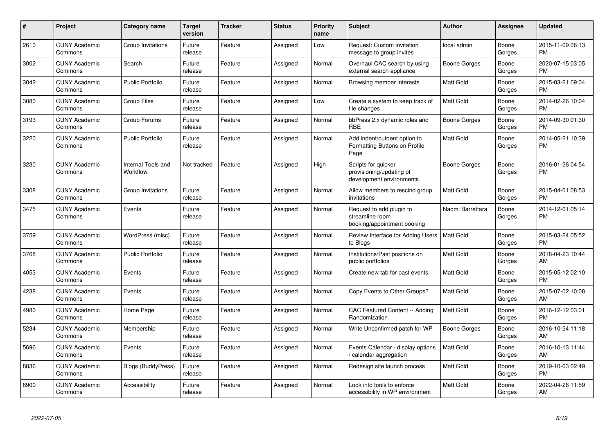| #    | <b>Project</b>                  | Category name                  | <b>Target</b><br>version | <b>Tracker</b> | <b>Status</b> | <b>Priority</b><br>name | <b>Subject</b>                                                              | <b>Author</b>       | Assignee        | <b>Updated</b>                |
|------|---------------------------------|--------------------------------|--------------------------|----------------|---------------|-------------------------|-----------------------------------------------------------------------------|---------------------|-----------------|-------------------------------|
| 2610 | <b>CUNY Academic</b><br>Commons | Group Invitations              | Future<br>release        | Feature        | Assigned      | Low                     | Request: Custom invitation<br>message to group invites                      | local admin         | Boone<br>Gorges | 2015-11-09 06:13<br><b>PM</b> |
| 3002 | <b>CUNY Academic</b><br>Commons | Search                         | Future<br>release        | Feature        | Assigned      | Normal                  | Overhaul CAC search by using<br>external search appliance                   | Boone Gorges        | Boone<br>Gorges | 2020-07-15 03:05<br><b>PM</b> |
| 3042 | <b>CUNY Academic</b><br>Commons | <b>Public Portfolio</b>        | Future<br>release        | Feature        | Assigned      | Normal                  | Browsing member interests                                                   | <b>Matt Gold</b>    | Boone<br>Gorges | 2015-03-21 09:04<br><b>PM</b> |
| 3080 | <b>CUNY Academic</b><br>Commons | <b>Group Files</b>             | Future<br>release        | Feature        | Assigned      | Low                     | Create a system to keep track of<br>file changes                            | <b>Matt Gold</b>    | Boone<br>Gorges | 2014-02-26 10:04<br><b>PM</b> |
| 3193 | <b>CUNY Academic</b><br>Commons | Group Forums                   | Future<br>release        | Feature        | Assigned      | Normal                  | bbPress 2.x dynamic roles and<br><b>RBE</b>                                 | <b>Boone Gorges</b> | Boone<br>Gorges | 2014-09-30 01:30<br><b>PM</b> |
| 3220 | <b>CUNY Academic</b><br>Commons | Public Portfolio               | Future<br>release        | Feature        | Assigned      | Normal                  | Add indent/outdent option to<br>Formatting Buttons on Profile<br>Page       | <b>Matt Gold</b>    | Boone<br>Gorges | 2014-05-21 10:39<br><b>PM</b> |
| 3230 | <b>CUNY Academic</b><br>Commons | Internal Tools and<br>Workflow | Not tracked              | Feature        | Assigned      | High                    | Scripts for quicker<br>provisioning/updating of<br>development environments | Boone Gorges        | Boone<br>Gorges | 2016-01-26 04:54<br><b>PM</b> |
| 3308 | <b>CUNY Academic</b><br>Commons | Group Invitations              | Future<br>release        | Feature        | Assigned      | Normal                  | Allow members to rescind group<br>invitations                               | <b>Matt Gold</b>    | Boone<br>Gorges | 2015-04-01 08:53<br><b>PM</b> |
| 3475 | <b>CUNY Academic</b><br>Commons | Events                         | Future<br>release        | Feature        | Assigned      | Normal                  | Request to add plugin to<br>streamline room<br>booking/appointment booking  | Naomi Barrettara    | Boone<br>Gorges | 2014-12-01 05:14<br><b>PM</b> |
| 3759 | <b>CUNY Academic</b><br>Commons | WordPress (misc)               | Future<br>release        | Feature        | Assigned      | Normal                  | Review Interface for Adding Users<br>to Blogs                               | <b>Matt Gold</b>    | Boone<br>Gorges | 2015-03-24 05:52<br><b>PM</b> |
| 3768 | <b>CUNY Academic</b><br>Commons | <b>Public Portfolio</b>        | Future<br>release        | Feature        | Assigned      | Normal                  | Institutions/Past positions on<br>public portfolios                         | <b>Matt Gold</b>    | Boone<br>Gorges | 2018-04-23 10:44<br>AM        |
| 4053 | <b>CUNY Academic</b><br>Commons | Events                         | Future<br>release        | Feature        | Assigned      | Normal                  | Create new tab for past events                                              | <b>Matt Gold</b>    | Boone<br>Gorges | 2015-05-12 02:10<br><b>PM</b> |
| 4238 | <b>CUNY Academic</b><br>Commons | Events                         | Future<br>release        | Feature        | Assigned      | Normal                  | Copy Events to Other Groups?                                                | <b>Matt Gold</b>    | Boone<br>Gorges | 2015-07-02 10:08<br>AM        |
| 4980 | <b>CUNY Academic</b><br>Commons | Home Page                      | Future<br>release        | Feature        | Assigned      | Normal                  | CAC Featured Content -- Adding<br>Randomization                             | <b>Matt Gold</b>    | Boone<br>Gorges | 2016-12-12 03:01<br><b>PM</b> |
| 5234 | <b>CUNY Academic</b><br>Commons | Membership                     | Future<br>release        | Feature        | Assigned      | Normal                  | Write Unconfirmed patch for WP                                              | Boone Gorges        | Boone<br>Gorges | 2016-10-24 11:18<br>AM        |
| 5696 | <b>CUNY Academic</b><br>Commons | Events                         | Future<br>release        | Feature        | Assigned      | Normal                  | Events Calendar - display options<br>/ calendar aggregation                 | <b>Matt Gold</b>    | Boone<br>Gorges | 2016-10-13 11:44<br>AM        |
| 8836 | <b>CUNY Academic</b><br>Commons | Blogs (BuddyPress)             | Future<br>release        | Feature        | Assigned      | Normal                  | Redesign site launch process                                                | <b>Matt Gold</b>    | Boone<br>Gorges | 2019-10-03 02:49<br><b>PM</b> |
| 8900 | <b>CUNY Academic</b><br>Commons | Accessibility                  | Future<br>release        | Feature        | Assigned      | Normal                  | Look into tools to enforce<br>accessibility in WP environment               | <b>Matt Gold</b>    | Boone<br>Gorges | 2022-04-26 11:59<br>AM        |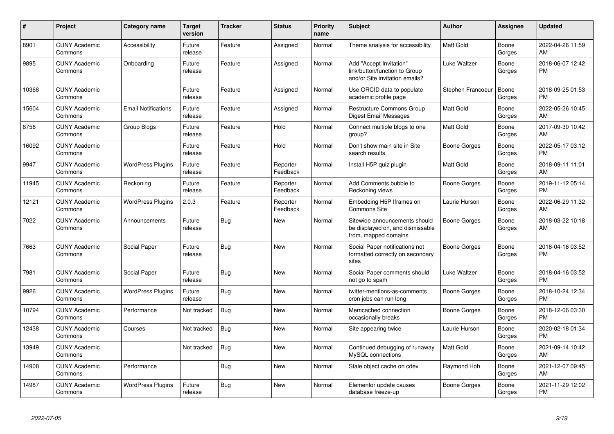| #     | Project                         | Category name              | <b>Target</b><br>version | <b>Tracker</b> | <b>Status</b>        | <b>Priority</b><br>name | <b>Subject</b>                                                                             | <b>Author</b>       | <b>Assignee</b> | <b>Updated</b>                |
|-------|---------------------------------|----------------------------|--------------------------|----------------|----------------------|-------------------------|--------------------------------------------------------------------------------------------|---------------------|-----------------|-------------------------------|
| 8901  | <b>CUNY Academic</b><br>Commons | Accessibility              | Future<br>release        | Feature        | Assigned             | Normal                  | Theme analysis for accessibility                                                           | Matt Gold           | Boone<br>Gorges | 2022-04-26 11:59<br>AM        |
| 9895  | <b>CUNY Academic</b><br>Commons | Onboarding                 | Future<br>release        | Feature        | Assigned             | Normal                  | Add "Accept Invitation"<br>link/button/function to Group<br>and/or Site invitation emails? | Luke Waltzer        | Boone<br>Gorges | 2018-06-07 12:42<br><b>PM</b> |
| 10368 | <b>CUNY Academic</b><br>Commons |                            | Future<br>release        | Feature        | Assigned             | Normal                  | Use ORCID data to populate<br>academic profile page                                        | Stephen Francoeur   | Boone<br>Gorges | 2018-09-25 01:53<br><b>PM</b> |
| 15604 | <b>CUNY Academic</b><br>Commons | <b>Email Notifications</b> | Future<br>release        | Feature        | Assigned             | Normal                  | Restructure Commons Group<br>Digest Email Messages                                         | <b>Matt Gold</b>    | Boone<br>Gorges | 2022-05-26 10:45<br>AM        |
| 8756  | <b>CUNY Academic</b><br>Commons | Group Blogs                | Future<br>release        | Feature        | Hold                 | Normal                  | Connect multiple blogs to one<br>group?                                                    | <b>Matt Gold</b>    | Boone<br>Gorges | 2017-09-30 10:42<br>AM        |
| 16092 | <b>CUNY Academic</b><br>Commons |                            | Future<br>release        | Feature        | Hold                 | Normal                  | Don't show main site in Site<br>search results                                             | Boone Gorges        | Boone<br>Gorges | 2022-05-17 03:12<br><b>PM</b> |
| 9947  | <b>CUNY Academic</b><br>Commons | <b>WordPress Plugins</b>   | Future<br>release        | Feature        | Reporter<br>Feedback | Normal                  | Install H5P quiz plugin                                                                    | <b>Matt Gold</b>    | Boone<br>Gorges | 2018-09-11 11:01<br>AM        |
| 11945 | <b>CUNY Academic</b><br>Commons | Reckoning                  | Future<br>release        | Feature        | Reporter<br>Feedback | Normal                  | Add Comments bubble to<br>Reckoning views                                                  | Boone Gorges        | Boone<br>Gorges | 2019-11-12 05:14<br><b>PM</b> |
| 12121 | <b>CUNY Academic</b><br>Commons | <b>WordPress Plugins</b>   | 2.0.3                    | Feature        | Reporter<br>Feedback | Normal                  | Embedding H5P Iframes on<br><b>Commons Site</b>                                            | Laurie Hurson       | Boone<br>Gorges | 2022-06-29 11:32<br>AM        |
| 7022  | <b>CUNY Academic</b><br>Commons | Announcements              | Future<br>release        | Bug            | New                  | Normal                  | Sitewide announcements should<br>be displayed on, and dismissable<br>from, mapped domains  | Boone Gorges        | Boone<br>Gorges | 2018-03-22 10:18<br>AM        |
| 7663  | <b>CUNY Academic</b><br>Commons | Social Paper               | Future<br>release        | <b>Bug</b>     | New                  | Normal                  | Social Paper notifications not<br>formatted correctly on secondary<br>sites                | Boone Gorges        | Boone<br>Gorges | 2018-04-16 03:52<br><b>PM</b> |
| 7981  | <b>CUNY Academic</b><br>Commons | Social Paper               | Future<br>release        | Bug            | <b>New</b>           | Normal                  | Social Paper comments should<br>not go to spam                                             | Luke Waltzer        | Boone<br>Gorges | 2018-04-16 03:52<br><b>PM</b> |
| 9926  | <b>CUNY Academic</b><br>Commons | <b>WordPress Plugins</b>   | Future<br>release        | Bug            | <b>New</b>           | Normal                  | twitter-mentions-as-comments<br>cron jobs can run long                                     | Boone Gorges        | Boone<br>Gorges | 2018-10-24 12:34<br><b>PM</b> |
| 10794 | <b>CUNY Academic</b><br>Commons | Performance                | Not tracked              | Bug            | <b>New</b>           | Normal                  | Memcached connection<br>occasionally breaks                                                | <b>Boone Gorges</b> | Boone<br>Gorges | 2018-12-06 03:30<br><b>PM</b> |
| 12438 | <b>CUNY Academic</b><br>Commons | Courses                    | Not tracked              | Bug            | <b>New</b>           | Normal                  | Site appearing twice                                                                       | Laurie Hurson       | Boone<br>Gorges | 2020-02-18 01:34<br><b>PM</b> |
| 13949 | <b>CUNY Academic</b><br>Commons |                            | Not tracked              | Bug            | <b>New</b>           | Normal                  | Continued debugging of runaway<br>MySQL connections                                        | <b>Matt Gold</b>    | Boone<br>Gorges | 2021-09-14 10:42<br>AM        |
| 14908 | <b>CUNY Academic</b><br>Commons | Performance                |                          | Bug            | <b>New</b>           | Normal                  | Stale object cache on cdev                                                                 | Raymond Hoh         | Boone<br>Gorges | 2021-12-07 09:45<br>AM        |
| 14987 | <b>CUNY Academic</b><br>Commons | <b>WordPress Plugins</b>   | Future<br>release        | Bug            | <b>New</b>           | Normal                  | Elementor update causes<br>database freeze-up                                              | Boone Gorges        | Boone<br>Gorges | 2021-11-29 12:02<br><b>PM</b> |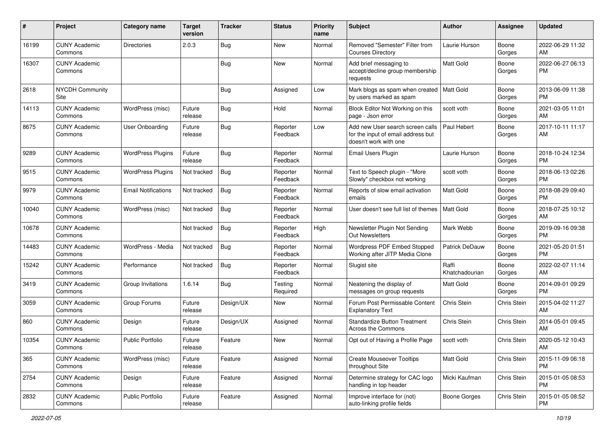| #     | Project                         | <b>Category name</b>       | <b>Target</b><br>version | <b>Tracker</b> | <b>Status</b>        | <b>Priority</b><br>name | Subject                                                                                         | Author                  | <b>Assignee</b> | <b>Updated</b>                |
|-------|---------------------------------|----------------------------|--------------------------|----------------|----------------------|-------------------------|-------------------------------------------------------------------------------------------------|-------------------------|-----------------|-------------------------------|
| 16199 | <b>CUNY Academic</b><br>Commons | Directories                | 2.0.3                    | Bug            | <b>New</b>           | Normal                  | Removed "Semester" Filter from<br><b>Courses Directory</b>                                      | Laurie Hurson           | Boone<br>Gorges | 2022-06-29 11:32<br>AM        |
| 16307 | <b>CUNY Academic</b><br>Commons |                            |                          | <b>Bug</b>     | New                  | Normal                  | Add brief messaging to<br>accept/decline group membership<br>requests                           | <b>Matt Gold</b>        | Boone<br>Gorges | 2022-06-27 06:13<br><b>PM</b> |
| 2618  | <b>NYCDH Community</b><br>Site  |                            |                          | <b>Bug</b>     | Assigned             | Low                     | Mark blogs as spam when created<br>by users marked as spam                                      | Matt Gold               | Boone<br>Gorges | 2013-06-09 11:38<br><b>PM</b> |
| 14113 | <b>CUNY Academic</b><br>Commons | WordPress (misc)           | Future<br>release        | Bug            | Hold                 | Normal                  | Block Editor Not Working on this<br>page - Json error                                           | scott voth              | Boone<br>Gorges | 2021-03-05 11:01<br>AM        |
| 8675  | <b>CUNY Academic</b><br>Commons | <b>User Onboarding</b>     | Future<br>release        | Bug            | Reporter<br>Feedback | Low                     | Add new User search screen calls<br>for the input of email address but<br>doesn't work with one | Paul Hebert             | Boone<br>Gorges | 2017-10-11 11:17<br>AM        |
| 9289  | <b>CUNY Academic</b><br>Commons | <b>WordPress Plugins</b>   | Future<br>release        | Bug            | Reporter<br>Feedback | Normal                  | Email Users Plugin                                                                              | Laurie Hurson           | Boone<br>Gorges | 2018-10-24 12:34<br><b>PM</b> |
| 9515  | <b>CUNY Academic</b><br>Commons | <b>WordPress Plugins</b>   | Not tracked              | <b>Bug</b>     | Reporter<br>Feedback | Normal                  | Text to Speech plugin - "More<br>Slowly" checkbox not working                                   | scott voth              | Boone<br>Gorges | 2018-06-13 02:26<br><b>PM</b> |
| 9979  | <b>CUNY Academic</b><br>Commons | <b>Email Notifications</b> | Not tracked              | Bug            | Reporter<br>Feedback | Normal                  | Reports of slow email activation<br>emails                                                      | Matt Gold               | Boone<br>Gorges | 2018-08-29 09:40<br><b>PM</b> |
| 10040 | <b>CUNY Academic</b><br>Commons | WordPress (misc)           | Not tracked              | Bug            | Reporter<br>Feedback | Normal                  | User doesn't see full list of themes                                                            | <b>Matt Gold</b>        | Boone<br>Gorges | 2018-07-25 10:12<br>AM        |
| 10678 | <b>CUNY Academic</b><br>Commons |                            | Not tracked              | <b>Bug</b>     | Reporter<br>Feedback | High                    | Newsletter Plugin Not Sending<br>Out Newsletters                                                | Mark Webb               | Boone<br>Gorges | 2019-09-16 09:38<br><b>PM</b> |
| 14483 | <b>CUNY Academic</b><br>Commons | WordPress - Media          | Not tracked              | Bug            | Reporter<br>Feedback | Normal                  | Wordpress PDF Embed Stopped<br>Working after JITP Media Clone                                   | Patrick DeDauw          | Boone<br>Gorges | 2021-05-20 01:51<br><b>PM</b> |
| 15242 | <b>CUNY Academic</b><br>Commons | Performance                | Not tracked              | Bug            | Reporter<br>Feedback | Normal                  | Slugist site                                                                                    | Raffi<br>Khatchadourian | Boone<br>Gorges | 2022-02-07 11:14<br>AM        |
| 3419  | <b>CUNY Academic</b><br>Commons | Group Invitations          | 1.6.14                   | Bug            | Testing<br>Required  | Normal                  | Neatening the display of<br>messages on group requests                                          | <b>Matt Gold</b>        | Boone<br>Gorges | 2014-09-01 09:29<br><b>PM</b> |
| 3059  | <b>CUNY Academic</b><br>Commons | Group Forums               | Future<br>release        | Design/UX      | <b>New</b>           | Normal                  | Forum Post Permissable Content<br><b>Explanatory Text</b>                                       | Chris Stein             | Chris Stein     | 2015-04-02 11:27<br>AM        |
| 860   | <b>CUNY Academic</b><br>Commons | Design                     | Future<br>release        | Design/UX      | Assigned             | Normal                  | <b>Standardize Button Treatment</b><br>Across the Commons                                       | Chris Stein             | Chris Stein     | 2014-05-01 09:45<br>AM        |
| 10354 | <b>CUNY Academic</b><br>Commons | <b>Public Portfolio</b>    | Future<br>release        | Feature        | New                  | Normal                  | Opt out of Having a Profile Page                                                                | scott voth              | Chris Stein     | 2020-05-12 10:43<br>AM        |
| 365   | <b>CUNY Academic</b><br>Commons | WordPress (misc)           | Future<br>release        | Feature        | Assigned             | Normal                  | <b>Create Mouseover Tooltips</b><br>throughout Site                                             | Matt Gold               | Chris Stein     | 2015-11-09 06:18<br><b>PM</b> |
| 2754  | <b>CUNY Academic</b><br>Commons | Design                     | Future<br>release        | Feature        | Assigned             | Normal                  | Determine strategy for CAC logo<br>handling in top header                                       | Micki Kaufman           | Chris Stein     | 2015-01-05 08:53<br><b>PM</b> |
| 2832  | <b>CUNY Academic</b><br>Commons | Public Portfolio           | Future<br>release        | Feature        | Assigned             | Normal                  | Improve interface for (not)<br>auto-linking profile fields                                      | Boone Gorges            | Chris Stein     | 2015-01-05 08:52<br><b>PM</b> |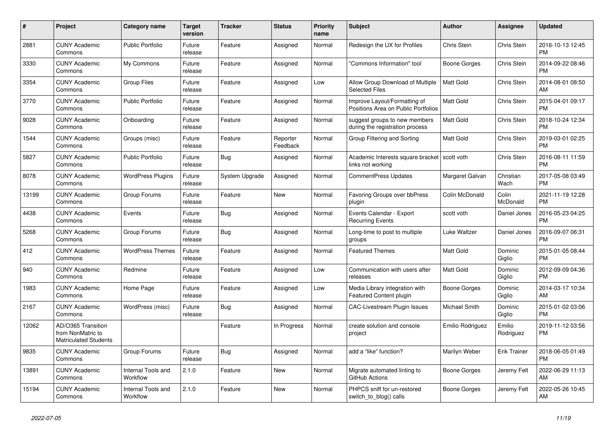| $\pmb{\#}$ | <b>Project</b>                                                          | <b>Category name</b>                  | <b>Target</b><br>version | <b>Tracker</b> | <b>Status</b>        | <b>Priority</b><br>name | <b>Subject</b>                                                      | <b>Author</b>    | Assignee            | <b>Updated</b>                |
|------------|-------------------------------------------------------------------------|---------------------------------------|--------------------------|----------------|----------------------|-------------------------|---------------------------------------------------------------------|------------------|---------------------|-------------------------------|
| 2881       | <b>CUNY Academic</b><br>Commons                                         | <b>Public Portfolio</b>               | Future<br>release        | Feature        | Assigned             | Normal                  | Redesign the UX for Profiles                                        | Chris Stein      | Chris Stein         | 2016-10-13 12:45<br><b>PM</b> |
| 3330       | <b>CUNY Academic</b><br>Commons                                         | My Commons                            | Future<br>release        | Feature        | Assigned             | Normal                  | "Commons Information" tool                                          | Boone Gorges     | Chris Stein         | 2014-09-22 08:46<br><b>PM</b> |
| 3354       | <b>CUNY Academic</b><br>Commons                                         | <b>Group Files</b>                    | Future<br>release        | Feature        | Assigned             | Low                     | Allow Group Download of Multiple<br><b>Selected Files</b>           | <b>Matt Gold</b> | Chris Stein         | 2014-08-01 08:50<br>AM        |
| 3770       | <b>CUNY Academic</b><br>Commons                                         | <b>Public Portfolio</b>               | Future<br>release        | Feature        | Assigned             | Normal                  | Improve Layout/Formatting of<br>Positions Area on Public Portfolios | <b>Matt Gold</b> | Chris Stein         | 2015-04-01 09:17<br><b>PM</b> |
| 9028       | <b>CUNY Academic</b><br>Commons                                         | Onboarding                            | Future<br>release        | Feature        | Assigned             | Normal                  | suggest groups to new members<br>during the registration process    | Matt Gold        | Chris Stein         | 2018-10-24 12:34<br><b>PM</b> |
| 1544       | <b>CUNY Academic</b><br>Commons                                         | Groups (misc)                         | Future<br>release        | Feature        | Reporter<br>Feedback | Normal                  | Group Filtering and Sorting                                         | Matt Gold        | Chris Stein         | 2019-03-01 02:25<br><b>PM</b> |
| 5827       | <b>CUNY Academic</b><br>Commons                                         | <b>Public Portfolio</b>               | Future<br>release        | Bug            | Assigned             | Normal                  | Academic Interests square bracket<br>links not working              | scott voth       | Chris Stein         | 2016-08-11 11:59<br><b>PM</b> |
| 8078       | <b>CUNY Academic</b><br>Commons                                         | <b>WordPress Plugins</b>              | Future<br>release        | System Upgrade | Assigned             | Normal                  | <b>CommentPress Updates</b>                                         | Margaret Galvan  | Christian<br>Wach   | 2017-05-08 03:49<br><b>PM</b> |
| 13199      | <b>CUNY Academic</b><br>Commons                                         | Group Forums                          | Future<br>release        | Feature        | New                  | Normal                  | Favoring Groups over bbPress<br>plugin                              | Colin McDonald   | Colin<br>McDonald   | 2021-11-19 12:28<br><b>PM</b> |
| 4438       | <b>CUNY Academic</b><br>Commons                                         | Events                                | Future<br>release        | Bug            | Assigned             | Normal                  | Events Calendar - Export<br><b>Recurring Events</b>                 | scott voth       | Daniel Jones        | 2016-05-23 04:25<br><b>PM</b> |
| 5268       | <b>CUNY Academic</b><br>Commons                                         | Group Forums                          | Future<br>release        | Bug            | Assigned             | Normal                  | Long-time to post to multiple<br>groups                             | Luke Waltzer     | Daniel Jones        | 2016-09-07 06:31<br><b>PM</b> |
| 412        | <b>CUNY Academic</b><br>Commons                                         | <b>WordPress Themes</b>               | Future<br>release        | Feature        | Assigned             | Normal                  | <b>Featured Themes</b>                                              | Matt Gold        | Dominic<br>Giglio   | 2015-01-05 08:44<br><b>PM</b> |
| 940        | <b>CUNY Academic</b><br>Commons                                         | Redmine                               | Future<br>release        | Feature        | Assigned             | Low                     | Communication with users after<br>releases                          | Matt Gold        | Dominic<br>Giglio   | 2012-09-09 04:36<br><b>PM</b> |
| 1983       | <b>CUNY Academic</b><br>Commons                                         | Home Page                             | Future<br>release        | Feature        | Assigned             | Low                     | Media Library integration with<br>Featured Content plugin           | Boone Gorges     | Dominic<br>Giglio   | 2014-03-17 10:34<br>AM        |
| 2167       | <b>CUNY Academic</b><br>Commons                                         | WordPress (misc)                      | Future<br>release        | Bug            | Assigned             | Normal                  | CAC-Livestream Plugin Issues                                        | Michael Smith    | Dominic<br>Giglio   | 2015-01-02 03:06<br><b>PM</b> |
| 12062      | AD/O365 Transition<br>from NonMatric to<br><b>Matriculated Students</b> |                                       |                          | Feature        | In Progress          | Normal                  | create solution and console<br>project                              | Emilio Rodriguez | Emilio<br>Rodriguez | 2019-11-12 03:56<br><b>PM</b> |
| 9835       | <b>CUNY Academic</b><br>Commons                                         | Group Forums                          | Future<br>release        | Bug            | Assigned             | Normal                  | add a "like" function?                                              | Marilyn Weber    | Erik Trainer        | 2018-06-05 01:49<br><b>PM</b> |
| 13891      | <b>CUNY Academic</b><br>Commons                                         | <b>Internal Tools and</b><br>Workflow | 2.1.0                    | Feature        | New                  | Normal                  | Migrate automated linting to<br>GitHub Actions                      | Boone Gorges     | Jeremy Felt         | 2022-06-29 11:13<br>AM        |
| 15194      | CUNY Academic<br>Commons                                                | Internal Tools and<br>Workflow        | 2.1.0                    | Feature        | <b>New</b>           | Normal                  | PHPCS sniff for un-restored<br>switch_to_blog() calls               | Boone Gorges     | Jeremy Felt         | 2022-05-26 10:45<br>AM        |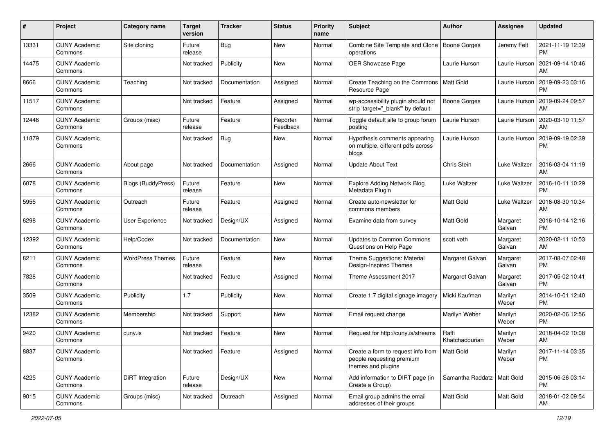| #     | Project                         | <b>Category name</b>      | <b>Target</b><br>version | <b>Tracker</b> | <b>Status</b>        | <b>Priority</b><br>name | <b>Subject</b>                                                                        | Author                       | Assignee           | <b>Updated</b>                |
|-------|---------------------------------|---------------------------|--------------------------|----------------|----------------------|-------------------------|---------------------------------------------------------------------------------------|------------------------------|--------------------|-------------------------------|
| 13331 | <b>CUNY Academic</b><br>Commons | Site cloning              | Future<br>release        | Bug            | New                  | Normal                  | Combine Site Template and Clone<br>operations                                         | Boone Gorges                 | Jeremy Felt        | 2021-11-19 12:39<br><b>PM</b> |
| 14475 | <b>CUNY Academic</b><br>Commons |                           | Not tracked              | Publicity      | New                  | Normal                  | OER Showcase Page                                                                     | Laurie Hurson                | Laurie Hurson      | 2021-09-14 10:46<br>AM        |
| 8666  | <b>CUNY Academic</b><br>Commons | Teaching                  | Not tracked              | Documentation  | Assigned             | Normal                  | Create Teaching on the Commons<br>Resource Page                                       | <b>Matt Gold</b>             | Laurie Hurson      | 2019-09-23 03:16<br><b>PM</b> |
| 11517 | <b>CUNY Academic</b><br>Commons |                           | Not tracked              | Feature        | Assigned             | Normal                  | wp-accessibility plugin should not<br>strip 'target=" blank" by default               | Boone Gorges                 | Laurie Hurson      | 2019-09-24 09:57<br>AM        |
| 12446 | <b>CUNY Academic</b><br>Commons | Groups (misc)             | Future<br>release        | Feature        | Reporter<br>Feedback | Normal                  | Toggle default site to group forum<br>posting                                         | Laurie Hurson                | Laurie Hurson      | 2020-03-10 11:57<br>AM        |
| 11879 | <b>CUNY Academic</b><br>Commons |                           | Not tracked              | Bug            | New                  | Normal                  | Hypothesis comments appearing<br>on multiple, different pdfs across<br>blogs          | Laurie Hurson                | Laurie Hurson      | 2019-09-19 02:39<br><b>PM</b> |
| 2666  | <b>CUNY Academic</b><br>Commons | About page                | Not tracked              | Documentation  | Assigned             | Normal                  | <b>Update About Text</b>                                                              | Chris Stein                  | Luke Waltzer       | 2016-03-04 11:19<br>AM        |
| 6078  | <b>CUNY Academic</b><br>Commons | <b>Blogs (BuddyPress)</b> | Future<br>release        | Feature        | New                  | Normal                  | <b>Explore Adding Network Blog</b><br>Metadata Plugin                                 | Luke Waltzer                 | Luke Waltzer       | 2016-10-11 10:29<br><b>PM</b> |
| 5955  | <b>CUNY Academic</b><br>Commons | Outreach                  | Future<br>release        | Feature        | Assigned             | Normal                  | Create auto-newsletter for<br>commons members                                         | <b>Matt Gold</b>             | Luke Waltzer       | 2016-08-30 10:34<br>AM        |
| 6298  | <b>CUNY Academic</b><br>Commons | <b>User Experience</b>    | Not tracked              | Design/UX      | Assigned             | Normal                  | Examine data from survey                                                              | <b>Matt Gold</b>             | Margaret<br>Galvan | 2016-10-14 12:16<br><b>PM</b> |
| 12392 | <b>CUNY Academic</b><br>Commons | Help/Codex                | Not tracked              | Documentation  | New                  | Normal                  | Updates to Common Commons<br>Questions on Help Page                                   | scott voth                   | Margaret<br>Galvan | 2020-02-11 10:53<br>AM        |
| 8211  | <b>CUNY Academic</b><br>Commons | <b>WordPress Themes</b>   | Future<br>release        | Feature        | New                  | Normal                  | Theme Suggestions: Material<br>Design-Inspired Themes                                 | Margaret Galvan              | Margaret<br>Galvan | 2017-08-07 02:48<br><b>PM</b> |
| 7828  | <b>CUNY Academic</b><br>Commons |                           | Not tracked              | Feature        | Assigned             | Normal                  | Theme Assessment 2017                                                                 | Margaret Galvan              | Margaret<br>Galvan | 2017-05-02 10:41<br><b>PM</b> |
| 3509  | <b>CUNY Academic</b><br>Commons | Publicity                 | 1.7                      | Publicity      | New                  | Normal                  | Create 1.7 digital signage imagery                                                    | Micki Kaufman                | Marilyn<br>Weber   | 2014-10-01 12:40<br><b>PM</b> |
| 12382 | <b>CUNY Academic</b><br>Commons | Membership                | Not tracked              | Support        | New                  | Normal                  | Email request change                                                                  | Marilyn Weber                | Marilyn<br>Weber   | 2020-02-06 12:56<br><b>PM</b> |
| 9420  | <b>CUNY Academic</b><br>Commons | cuny.is                   | Not tracked              | Feature        | New                  | Normal                  | Request for http://cuny.is/streams                                                    | Raffi<br>Khatchadourian      | Marilyn<br>Weber   | 2018-04-02 10:08<br>AM        |
| 8837  | <b>CUNY Academic</b><br>Commons |                           | Not tracked              | Feature        | Assigned             | Normal                  | Create a form to request info from<br>people requesting premium<br>themes and plugins | Matt Gold                    | Marilyn<br>Weber   | 2017-11-14 03:35<br><b>PM</b> |
| 4225  | <b>CUNY Academic</b><br>Commons | DiRT Integration          | Future<br>release        | Design/UX      | New                  | Normal                  | Add information to DIRT page (in<br>Create a Group)                                   | Samantha Raddatz   Matt Gold |                    | 2015-06-26 03:14<br><b>PM</b> |
| 9015  | <b>CUNY Academic</b><br>Commons | Groups (misc)             | Not tracked              | Outreach       | Assigned             | Normal                  | Email group admins the email<br>addresses of their groups                             | Matt Gold                    | Matt Gold          | 2018-01-02 09:54<br>AM        |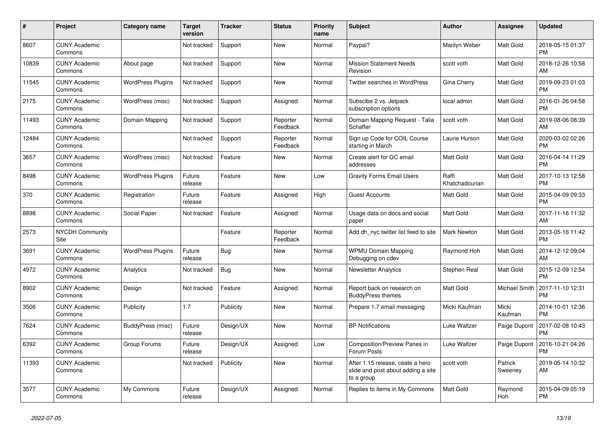| $\#$  | Project                         | <b>Category name</b>     | <b>Target</b><br>version | <b>Tracker</b> | <b>Status</b>        | Priority<br>name | <b>Subject</b>                                                                       | <b>Author</b>           | <b>Assignee</b>    | <b>Updated</b>                |
|-------|---------------------------------|--------------------------|--------------------------|----------------|----------------------|------------------|--------------------------------------------------------------------------------------|-------------------------|--------------------|-------------------------------|
| 8607  | <b>CUNY Academic</b><br>Commons |                          | Not tracked              | Support        | <b>New</b>           | Normal           | Paypal?                                                                              | Marilyn Weber           | Matt Gold          | 2018-05-15 01:37<br><b>PM</b> |
| 10839 | <b>CUNY Academic</b><br>Commons | About page               | Not tracked              | Support        | New                  | Normal           | <b>Mission Statement Needs</b><br>Revision                                           | scott voth              | Matt Gold          | 2018-12-26 10:58<br>AM        |
| 11545 | <b>CUNY Academic</b><br>Commons | <b>WordPress Plugins</b> | Not tracked              | Support        | <b>New</b>           | Normal           | Twitter searches in WordPress                                                        | Gina Cherry             | Matt Gold          | 2019-09-23 01:03<br><b>PM</b> |
| 2175  | <b>CUNY Academic</b><br>Commons | WordPress (misc)         | Not tracked              | Support        | Assigned             | Normal           | Subscibe 2 vs. Jetpack<br>subscription options                                       | local admin             | Matt Gold          | 2016-01-26 04:58<br><b>PM</b> |
| 11493 | <b>CUNY Academic</b><br>Commons | Domain Mapping           | Not tracked              | Support        | Reporter<br>Feedback | Normal           | Domain Mapping Request - Talia<br>Schaffer                                           | scott voth              | Matt Gold          | 2019-08-06 08:39<br>AM        |
| 12484 | <b>CUNY Academic</b><br>Commons |                          | Not tracked              | Support        | Reporter<br>Feedback | Normal           | Sign up Code for COIL Course<br>starting in March                                    | Laurie Hurson           | Matt Gold          | 2020-03-02 02:26<br><b>PM</b> |
| 3657  | <b>CUNY Academic</b><br>Commons | WordPress (misc)         | Not tracked              | Feature        | <b>New</b>           | Normal           | Create alert for GC email<br>addresses                                               | <b>Matt Gold</b>        | Matt Gold          | 2016-04-14 11:29<br><b>PM</b> |
| 8498  | <b>CUNY Academic</b><br>Commons | <b>WordPress Plugins</b> | Future<br>release        | Feature        | New                  | Low              | <b>Gravity Forms Email Users</b>                                                     | Raffi<br>Khatchadourian | Matt Gold          | 2017-10-13 12:58<br><b>PM</b> |
| 370   | <b>CUNY Academic</b><br>Commons | Registration             | Future<br>release        | Feature        | Assigned             | High             | <b>Guest Accounts</b>                                                                | Matt Gold               | Matt Gold          | 2015-04-09 09:33<br><b>PM</b> |
| 8898  | <b>CUNY Academic</b><br>Commons | Social Paper             | Not tracked              | Feature        | Assigned             | Normal           | Usage data on docs and social<br>paper                                               | <b>Matt Gold</b>        | Matt Gold          | 2017-11-16 11:32<br>AM        |
| 2573  | <b>NYCDH Community</b><br>Site  |                          |                          | Feature        | Reporter<br>Feedback | Normal           | Add dh nyc twitter list feed to site                                                 | <b>Mark Newton</b>      | Matt Gold          | 2013-05-16 11:42<br><b>PM</b> |
| 3691  | <b>CUNY Academic</b><br>Commons | <b>WordPress Plugins</b> | Future<br>release        | Bug            | New                  | Normal           | <b>WPMU Domain Mapping</b><br>Debugging on cdev                                      | Raymond Hoh             | Matt Gold          | 2014-12-12 09:04<br>AM        |
| 4972  | <b>CUNY Academic</b><br>Commons | Analytics                | Not tracked              | <b>Bug</b>     | <b>New</b>           | Normal           | <b>Newsletter Analytics</b>                                                          | Stephen Real            | Matt Gold          | 2015-12-09 12:54<br><b>PM</b> |
| 8902  | <b>CUNY Academic</b><br>Commons | Design                   | Not tracked              | Feature        | Assigned             | Normal           | Report back on research on<br><b>BuddyPress themes</b>                               | <b>Matt Gold</b>        | Michael Smith      | 2017-11-10 12:31<br><b>PM</b> |
| 3506  | <b>CUNY Academic</b><br>Commons | Publicity                | 1.7                      | Publicity      | <b>New</b>           | Normal           | Prepare 1.7 email messaging                                                          | Micki Kaufman           | Micki<br>Kaufman   | 2014-10-01 12:36<br><b>PM</b> |
| 7624  | <b>CUNY Academic</b><br>Commons | BuddyPress (misc)        | Future<br>release        | Design/UX      | <b>New</b>           | Normal           | <b>BP Notifications</b>                                                              | Luke Waltzer            | Paige Dupont       | 2017-02-08 10:43<br><b>PM</b> |
| 6392  | <b>CUNY Academic</b><br>Commons | Group Forums             | Future<br>release        | Design/UX      | Assigned             | Low              | Composition/Preview Panes in<br>Forum Posts                                          | Luke Waltzer            | Paige Dupont       | 2016-10-21 04:26<br><b>PM</b> |
| 11393 | <b>CUNY Academic</b><br>Commons |                          | Not tracked              | Publicity      | New                  | Normal           | After 1.15 release, ceate a hero<br>slide and post about adding a site<br>to a group | scott voth              | Patrick<br>Sweeney | 2019-05-14 10:32<br>AM        |
| 3577  | <b>CUNY Academic</b><br>Commons | My Commons               | Future<br>release        | Design/UX      | Assigned             | Normal           | Replies to items in My Commons                                                       | <b>Matt Gold</b>        | Raymond<br>Hoh     | 2015-04-09 05:19<br><b>PM</b> |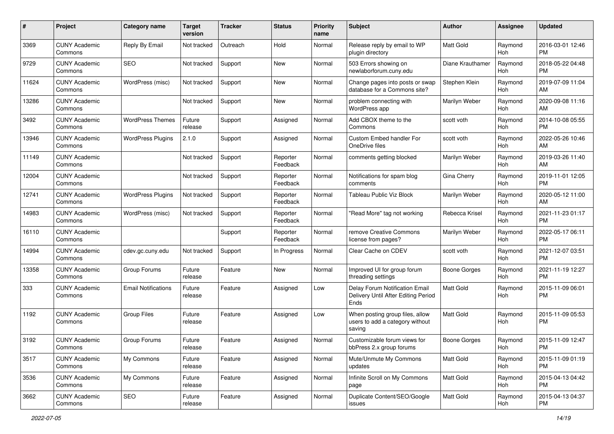| #     | Project                         | <b>Category name</b>       | <b>Target</b><br>version | <b>Tracker</b> | <b>Status</b>        | <b>Priority</b><br>name | <b>Subject</b>                                                                | Author              | <b>Assignee</b> | <b>Updated</b>                |
|-------|---------------------------------|----------------------------|--------------------------|----------------|----------------------|-------------------------|-------------------------------------------------------------------------------|---------------------|-----------------|-------------------------------|
| 3369  | <b>CUNY Academic</b><br>Commons | Reply By Email             | Not tracked              | Outreach       | Hold                 | Normal                  | Release reply by email to WP<br>plugin directory                              | <b>Matt Gold</b>    | Raymond<br>Hoh  | 2016-03-01 12:46<br><b>PM</b> |
| 9729  | <b>CUNY Academic</b><br>Commons | SEO                        | Not tracked              | Support        | New                  | Normal                  | 503 Errors showing on<br>newlaborforum.cuny.edu                               | Diane Krauthamer    | Raymond<br>Hoh  | 2018-05-22 04:48<br><b>PM</b> |
| 11624 | <b>CUNY Academic</b><br>Commons | WordPress (misc)           | Not tracked              | Support        | New                  | Normal                  | Change pages into posts or swap<br>database for a Commons site?               | Stephen Klein       | Raymond<br>Hoh  | 2019-07-09 11:04<br>AM        |
| 13286 | <b>CUNY Academic</b><br>Commons |                            | Not tracked              | Support        | <b>New</b>           | Normal                  | problem connecting with<br>WordPress app                                      | Marilyn Weber       | Raymond<br>Hoh  | 2020-09-08 11:16<br>AM        |
| 3492  | <b>CUNY Academic</b><br>Commons | <b>WordPress Themes</b>    | Future<br>release        | Support        | Assigned             | Normal                  | Add CBOX theme to the<br>Commons                                              | scott voth          | Raymond<br>Hoh  | 2014-10-08 05:55<br><b>PM</b> |
| 13946 | <b>CUNY Academic</b><br>Commons | <b>WordPress Plugins</b>   | 2.1.0                    | Support        | Assigned             | Normal                  | Custom Embed handler For<br>OneDrive files                                    | scott voth          | Raymond<br>Hoh  | 2022-05-26 10:46<br>AM        |
| 11149 | <b>CUNY Academic</b><br>Commons |                            | Not tracked              | Support        | Reporter<br>Feedback | Normal                  | comments getting blocked                                                      | Marilyn Weber       | Raymond<br>Hoh  | 2019-03-26 11:40<br>AM        |
| 12004 | <b>CUNY Academic</b><br>Commons |                            | Not tracked              | Support        | Reporter<br>Feedback | Normal                  | Notifications for spam blog<br>comments                                       | Gina Cherry         | Raymond<br>Hoh  | 2019-11-01 12:05<br><b>PM</b> |
| 12741 | <b>CUNY Academic</b><br>Commons | <b>WordPress Plugins</b>   | Not tracked              | Support        | Reporter<br>Feedback | Normal                  | Tableau Public Viz Block                                                      | Marilyn Weber       | Raymond<br>Hoh  | 2020-05-12 11:00<br>AM        |
| 14983 | <b>CUNY Academic</b><br>Commons | WordPress (misc)           | Not tracked              | Support        | Reporter<br>Feedback | Normal                  | "Read More" tag not working                                                   | Rebecca Krisel      | Raymond<br>Hoh  | 2021-11-23 01:17<br><b>PM</b> |
| 16110 | <b>CUNY Academic</b><br>Commons |                            |                          | Support        | Reporter<br>Feedback | Normal                  | remove Creative Commons<br>license from pages?                                | Marilyn Weber       | Raymond<br>Hoh  | 2022-05-17 06:11<br><b>PM</b> |
| 14994 | <b>CUNY Academic</b><br>Commons | cdev.gc.cuny.edu           | Not tracked              | Support        | In Progress          | Normal                  | Clear Cache on CDEV                                                           | scott voth          | Raymond<br>Hoh  | 2021-12-07 03:51<br><b>PM</b> |
| 13358 | <b>CUNY Academic</b><br>Commons | Group Forums               | Future<br>release        | Feature        | New                  | Normal                  | Improved UI for group forum<br>threading settings                             | <b>Boone Gorges</b> | Raymond<br>Hoh  | 2021-11-19 12:27<br><b>PM</b> |
| 333   | <b>CUNY Academic</b><br>Commons | <b>Email Notifications</b> | Future<br>release        | Feature        | Assigned             | Low                     | Delay Forum Notification Email<br>Delivery Until After Editing Period<br>Ends | <b>Matt Gold</b>    | Raymond<br>Hoh  | 2015-11-09 06:01<br><b>PM</b> |
| 1192  | <b>CUNY Academic</b><br>Commons | <b>Group Files</b>         | Future<br>release        | Feature        | Assigned             | Low                     | When posting group files, allow<br>users to add a category without<br>saving  | <b>Matt Gold</b>    | Raymond<br>Hoh  | 2015-11-09 05:53<br><b>PM</b> |
| 3192  | <b>CUNY Academic</b><br>Commons | Group Forums               | Future<br>release        | Feature        | Assigned             | Normal                  | Customizable forum views for<br>bbPress 2.x group forums                      | <b>Boone Gorges</b> | Raymond<br>Hoh  | 2015-11-09 12:47<br>PM        |
| 3517  | <b>CUNY Academic</b><br>Commons | My Commons                 | Future<br>release        | Feature        | Assigned             | Normal                  | Mute/Unmute My Commons<br>updates                                             | Matt Gold           | Raymond<br>Hoh  | 2015-11-09 01:19<br><b>PM</b> |
| 3536  | <b>CUNY Academic</b><br>Commons | My Commons                 | Future<br>release        | Feature        | Assigned             | Normal                  | Infinite Scroll on My Commons<br>page                                         | Matt Gold           | Raymond<br>Hoh  | 2015-04-13 04:42<br><b>PM</b> |
| 3662  | <b>CUNY Academic</b><br>Commons | SEO                        | Future<br>release        | Feature        | Assigned             | Normal                  | Duplicate Content/SEO/Google<br>issues                                        | Matt Gold           | Raymond<br>Hoh  | 2015-04-13 04:37<br><b>PM</b> |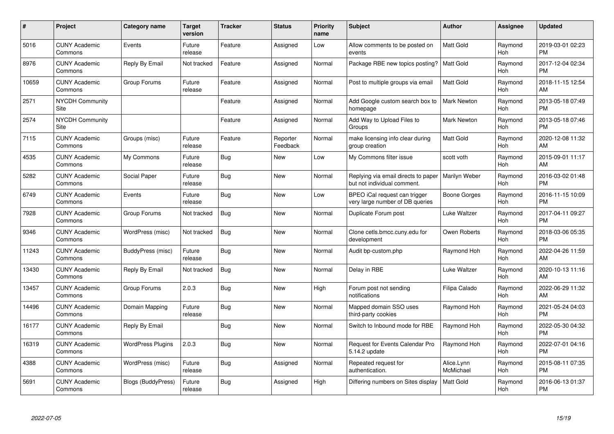| #     | Project                         | <b>Category name</b>     | <b>Target</b><br>version | <b>Tracker</b> | <b>Status</b>        | <b>Priority</b><br>name | <b>Subject</b>                                                     | <b>Author</b>           | Assignee       | <b>Updated</b>                |
|-------|---------------------------------|--------------------------|--------------------------|----------------|----------------------|-------------------------|--------------------------------------------------------------------|-------------------------|----------------|-------------------------------|
| 5016  | <b>CUNY Academic</b><br>Commons | Events                   | Future<br>release        | Feature        | Assigned             | Low                     | Allow comments to be posted on<br>events                           | <b>Matt Gold</b>        | Raymond<br>Hoh | 2019-03-01 02:23<br><b>PM</b> |
| 8976  | <b>CUNY Academic</b><br>Commons | Reply By Email           | Not tracked              | Feature        | Assigned             | Normal                  | Package RBE new topics posting?                                    | <b>Matt Gold</b>        | Raymond<br>Hoh | 2017-12-04 02:34<br><b>PM</b> |
| 10659 | <b>CUNY Academic</b><br>Commons | Group Forums             | Future<br>release        | Feature        | Assigned             | Normal                  | Post to multiple groups via email                                  | <b>Matt Gold</b>        | Raymond<br>Hoh | 2018-11-15 12:54<br>AM        |
| 2571  | <b>NYCDH Community</b><br>Site  |                          |                          | Feature        | Assigned             | Normal                  | Add Google custom search box to<br>homepage                        | <b>Mark Newton</b>      | Raymond<br>Hoh | 2013-05-18 07:49<br><b>PM</b> |
| 2574  | <b>NYCDH Community</b><br>Site  |                          |                          | Feature        | Assigned             | Normal                  | Add Way to Upload Files to<br>Groups                               | <b>Mark Newton</b>      | Raymond<br>Hoh | 2013-05-18 07:46<br><b>PM</b> |
| 7115  | <b>CUNY Academic</b><br>Commons | Groups (misc)            | Future<br>release        | Feature        | Reporter<br>Feedback | Normal                  | make licensing info clear during<br>group creation                 | <b>Matt Gold</b>        | Raymond<br>Hoh | 2020-12-08 11:32<br>AM        |
| 4535  | <b>CUNY Academic</b><br>Commons | My Commons               | Future<br>release        | <b>Bug</b>     | New                  | Low                     | My Commons filter issue                                            | scott voth              | Raymond<br>Hoh | 2015-09-01 11:17<br>AM        |
| 5282  | <b>CUNY Academic</b><br>Commons | Social Paper             | Future<br>release        | Bug            | <b>New</b>           | Normal                  | Replying via email directs to paper<br>but not individual comment. | Marilyn Weber           | Raymond<br>Hoh | 2016-03-02 01:48<br><b>PM</b> |
| 6749  | <b>CUNY Academic</b><br>Commons | Events                   | Future<br>release        | Bug            | New                  | Low                     | BPEO iCal request can trigger<br>very large number of DB queries   | Boone Gorges            | Raymond<br>Hoh | 2016-11-15 10:09<br><b>PM</b> |
| 7928  | <b>CUNY Academic</b><br>Commons | Group Forums             | Not tracked              | Bug            | New                  | Normal                  | Duplicate Forum post                                               | Luke Waltzer            | Raymond<br>Hoh | 2017-04-11 09:27<br><b>PM</b> |
| 9346  | <b>CUNY Academic</b><br>Commons | WordPress (misc)         | Not tracked              | <b>Bug</b>     | New                  | Normal                  | Clone cetls.bmcc.cuny.edu for<br>development                       | Owen Roberts            | Raymond<br>Hoh | 2018-03-06 05:35<br><b>PM</b> |
| 11243 | <b>CUNY Academic</b><br>Commons | BuddyPress (misc)        | Future<br>release        | Bug            | New                  | Normal                  | Audit bp-custom.php                                                | Raymond Hoh             | Raymond<br>Hoh | 2022-04-26 11:59<br>AM        |
| 13430 | <b>CUNY Academic</b><br>Commons | Reply By Email           | Not tracked              | Bug            | New                  | Normal                  | Delay in RBE                                                       | Luke Waltzer            | Raymond<br>Hoh | 2020-10-13 11:16<br>AM        |
| 13457 | <b>CUNY Academic</b><br>Commons | Group Forums             | 2.0.3                    | Bug            | New                  | High                    | Forum post not sending<br>notifications                            | Filipa Calado           | Raymond<br>Hoh | 2022-06-29 11:32<br>AM        |
| 14496 | <b>CUNY Academic</b><br>Commons | Domain Mapping           | Future<br>release        | Bug            | <b>New</b>           | Normal                  | Mapped domain SSO uses<br>third-party cookies                      | Raymond Hoh             | Raymond<br>Hoh | 2021-05-24 04:03<br><b>PM</b> |
| 16177 | <b>CUNY Academic</b><br>Commons | Reply By Email           |                          | Bug            | New                  | Normal                  | Switch to Inbound mode for RBE                                     | Raymond Hoh             | Raymond<br>Hoh | 2022-05-30 04:32<br><b>PM</b> |
| 16319 | <b>CUNY Academic</b><br>Commons | <b>WordPress Plugins</b> | 2.0.3                    | Bug            | <b>New</b>           | Normal                  | Request for Events Calendar Pro<br>5.14.2 update                   | Raymond Hoh             | Raymond<br>Hoh | 2022-07-01 04:16<br><b>PM</b> |
| 4388  | <b>CUNY Academic</b><br>Commons | WordPress (misc)         | Future<br>release        | <b>Bug</b>     | Assigned             | Normal                  | Repeated request for<br>authentication.                            | Alice.Lynn<br>McMichael | Raymond<br>Hoh | 2015-08-11 07:35<br><b>PM</b> |
| 5691  | <b>CUNY Academic</b><br>Commons | Blogs (BuddyPress)       | Future<br>release        | Bug            | Assigned             | High                    | Differing numbers on Sites display                                 | <b>Matt Gold</b>        | Raymond<br>Hoh | 2016-06-13 01:37<br><b>PM</b> |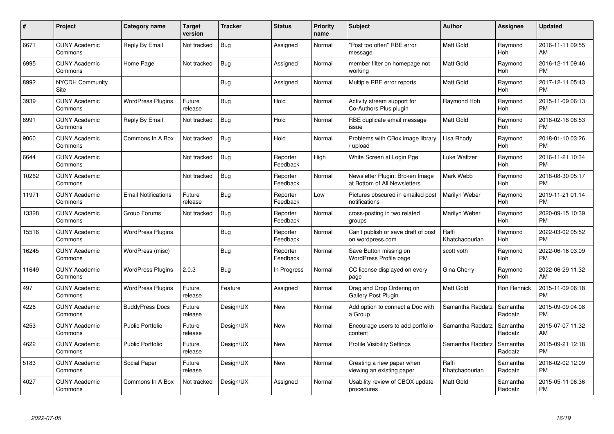| $\#$  | Project                         | <b>Category name</b>       | Target<br>version | <b>Tracker</b> | <b>Status</b>        | Priority<br>name | <b>Subject</b>                                                  | <b>Author</b>           | <b>Assignee</b>     | <b>Updated</b>                |
|-------|---------------------------------|----------------------------|-------------------|----------------|----------------------|------------------|-----------------------------------------------------------------|-------------------------|---------------------|-------------------------------|
| 6671  | <b>CUNY Academic</b><br>Commons | Reply By Email             | Not tracked       | <b>Bug</b>     | Assigned             | Normal           | "Post too often" RBE error<br>message                           | <b>Matt Gold</b>        | Raymond<br>Hoh      | 2016-11-11 09:55<br>AM        |
| 6995  | <b>CUNY Academic</b><br>Commons | Home Page                  | Not tracked       | Bug            | Assigned             | Normal           | member filter on homepage not<br>workina                        | <b>Matt Gold</b>        | Raymond<br>Hoh      | 2016-12-11 09:46<br><b>PM</b> |
| 8992  | NYCDH Community<br><b>Site</b>  |                            |                   | Bug            | Assigned             | Normal           | Multiple RBE error reports                                      | Matt Gold               | Raymond<br>Hoh      | 2017-12-11 05:43<br><b>PM</b> |
| 3939  | <b>CUNY Academic</b><br>Commons | <b>WordPress Plugins</b>   | Future<br>release | Bug            | Hold                 | Normal           | Activity stream support for<br>Co-Authors Plus plugin           | Raymond Hoh             | Raymond<br>Hoh      | 2015-11-09 06:13<br><b>PM</b> |
| 8991  | <b>CUNY Academic</b><br>Commons | Reply By Email             | Not tracked       | Bug            | Hold                 | Normal           | RBE duplicate email message<br>issue                            | Matt Gold               | Raymond<br>Hoh      | 2018-02-18 08:53<br><b>PM</b> |
| 9060  | <b>CUNY Academic</b><br>Commons | Commons In A Box           | Not tracked       | Bug            | Hold                 | Normal           | Problems with CBox image library<br>upload                      | Lisa Rhody              | Raymond<br>Hoh      | 2018-01-10 03:26<br><b>PM</b> |
| 6644  | <b>CUNY Academic</b><br>Commons |                            | Not tracked       | Bug            | Reporter<br>Feedback | High             | White Screen at Login Pge                                       | Luke Waltzer            | Raymond<br>Hoh      | 2016-11-21 10:34<br><b>PM</b> |
| 10262 | <b>CUNY Academic</b><br>Commons |                            | Not tracked       | Bug            | Reporter<br>Feedback | Normal           | Newsletter Plugin: Broken Image<br>at Bottom of All Newsletters | Mark Webb               | Raymond<br>Hoh      | 2018-08-30 05:17<br><b>PM</b> |
| 11971 | <b>CUNY Academic</b><br>Commons | <b>Email Notifications</b> | Future<br>release | Bug            | Reporter<br>Feedback | Low              | Pictures obscured in emailed post<br>notifications              | Marilyn Weber           | Raymond<br>Hoh      | 2019-11-21 01:14<br><b>PM</b> |
| 13328 | <b>CUNY Academic</b><br>Commons | Group Forums               | Not tracked       | Bug            | Reporter<br>Feedback | Normal           | cross-posting in two related<br>groups                          | Marilyn Weber           | Raymond<br>Hoh      | 2020-09-15 10:39<br><b>PM</b> |
| 15516 | <b>CUNY Academic</b><br>Commons | <b>WordPress Plugins</b>   |                   | <b>Bug</b>     | Reporter<br>Feedback | Normal           | Can't publish or save draft of post<br>on wordpress.com         | Raffi<br>Khatchadourian | Raymond<br>Hoh      | 2022-03-02 05:52<br><b>PM</b> |
| 16245 | <b>CUNY Academic</b><br>Commons | WordPress (misc)           |                   | Bug            | Reporter<br>Feedback | Normal           | Save Button missing on<br><b>WordPress Profile page</b>         | scott voth              | Raymond<br>Hoh      | 2022-06-16 03:09<br><b>PM</b> |
| 11649 | <b>CUNY Academic</b><br>Commons | <b>WordPress Plugins</b>   | 2.0.3             | Bug            | In Progress          | Normal           | CC license displayed on every<br>page                           | Gina Cherry             | Raymond<br>Hoh      | 2022-06-29 11:32<br>AM        |
| 497   | <b>CUNY Academic</b><br>Commons | <b>WordPress Plugins</b>   | Future<br>release | Feature        | Assigned             | Normal           | Drag and Drop Ordering on<br><b>Gallery Post Plugin</b>         | Matt Gold               | Ron Rennick         | 2015-11-09 06:18<br><b>PM</b> |
| 4226  | <b>CUNY Academic</b><br>Commons | <b>BuddyPress Docs</b>     | Future<br>release | Design/UX      | New                  | Normal           | Add option to connect a Doc with<br>a Group                     | Samantha Raddatz        | Samantha<br>Raddatz | 2015-09-09 04:08<br><b>PM</b> |
| 4253  | <b>CUNY Academic</b><br>Commons | <b>Public Portfolio</b>    | Future<br>release | Design/UX      | New                  | Normal           | Encourage users to add portfolio<br>content                     | Samantha Raddatz        | Samantha<br>Raddatz | 2015-07-07 11:32<br>AM        |
| 4622  | <b>CUNY Academic</b><br>Commons | <b>Public Portfolio</b>    | Future<br>release | Design/UX      | New                  | Normal           | <b>Profile Visibility Settings</b>                              | Samantha Raddatz        | Samantha<br>Raddatz | 2015-09-21 12:18<br><b>PM</b> |
| 5183  | <b>CUNY Academic</b><br>Commons | Social Paper               | Future<br>release | Design/UX      | New                  | Normal           | Creating a new paper when<br>viewing an existing paper          | Raffi<br>Khatchadourian | Samantha<br>Raddatz | 2016-02-02 12:09<br><b>PM</b> |
| 4027  | CUNY Academic<br>Commons        | Commons In A Box           | Not tracked       | Design/UX      | Assigned             | Normal           | Usability review of CBOX update<br>procedures                   | <b>Matt Gold</b>        | Samantha<br>Raddatz | 2015-05-11 06:36<br><b>PM</b> |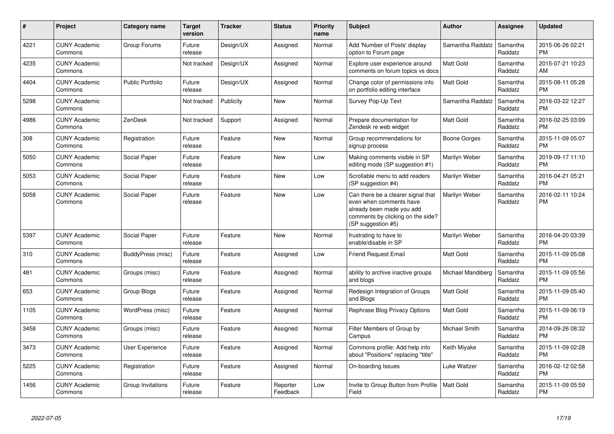| #    | Project                         | <b>Category name</b>    | <b>Target</b><br>version | <b>Tracker</b> | <b>Status</b>        | <b>Priority</b><br>name | <b>Subject</b>                                                                                                                                        | <b>Author</b>     | <b>Assignee</b>     | <b>Updated</b>                |
|------|---------------------------------|-------------------------|--------------------------|----------------|----------------------|-------------------------|-------------------------------------------------------------------------------------------------------------------------------------------------------|-------------------|---------------------|-------------------------------|
| 4221 | <b>CUNY Academic</b><br>Commons | Group Forums            | Future<br>release        | Design/UX      | Assigned             | Normal                  | Add 'Number of Posts' display<br>option to Forum page                                                                                                 | Samantha Raddatz  | Samantha<br>Raddatz | 2015-06-26 02:21<br><b>PM</b> |
| 4235 | <b>CUNY Academic</b><br>Commons |                         | Not tracked              | Design/UX      | Assigned             | Normal                  | Explore user experience around<br>comments on forum topics vs docs                                                                                    | <b>Matt Gold</b>  | Samantha<br>Raddatz | 2015-07-21 10:23<br>AM        |
| 4404 | <b>CUNY Academic</b><br>Commons | <b>Public Portfolio</b> | Future<br>release        | Design/UX      | Assigned             | Normal                  | Change color of permissions info<br>on portfolio editing interface                                                                                    | <b>Matt Gold</b>  | Samantha<br>Raddatz | 2015-08-11 05:28<br><b>PM</b> |
| 5298 | <b>CUNY Academic</b><br>Commons |                         | Not tracked              | Publicity      | New                  | Normal                  | Survey Pop-Up Text                                                                                                                                    | Samantha Raddatz  | Samantha<br>Raddatz | 2016-03-22 12:27<br><b>PM</b> |
| 4986 | <b>CUNY Academic</b><br>Commons | ZenDesk                 | Not tracked              | Support        | Assigned             | Normal                  | Prepare documentation for<br>Zendesk re web widget                                                                                                    | <b>Matt Gold</b>  | Samantha<br>Raddatz | 2016-02-25 03:09<br><b>PM</b> |
| 308  | <b>CUNY Academic</b><br>Commons | Registration            | Future<br>release        | Feature        | New                  | Normal                  | Group recommendations for<br>signup process                                                                                                           | Boone Gorges      | Samantha<br>Raddatz | 2015-11-09 05:07<br><b>PM</b> |
| 5050 | <b>CUNY Academic</b><br>Commons | Social Paper            | Future<br>release        | Feature        | <b>New</b>           | Low                     | Making comments visible in SP<br>editing mode (SP suggestion #1)                                                                                      | Marilyn Weber     | Samantha<br>Raddatz | 2019-09-17 11:10<br><b>PM</b> |
| 5053 | <b>CUNY Academic</b><br>Commons | Social Paper            | Future<br>release        | Feature        | <b>New</b>           | Low                     | Scrollable menu to add readers<br>(SP suggestion #4)                                                                                                  | Marilyn Weber     | Samantha<br>Raddatz | 2016-04-21 05:21<br><b>PM</b> |
| 5058 | <b>CUNY Academic</b><br>Commons | Social Paper            | Future<br>release        | Feature        | New                  | Low                     | Can there be a clearer signal that<br>even when comments have<br>already been made you add<br>comments by clicking on the side?<br>(SP suggestion #5) | Marilyn Weber     | Samantha<br>Raddatz | 2016-02-11 10:24<br><b>PM</b> |
| 5397 | <b>CUNY Academic</b><br>Commons | Social Paper            | Future<br>release        | Feature        | <b>New</b>           | Normal                  | frustrating to have to<br>enable/disable in SP                                                                                                        | Marilyn Weber     | Samantha<br>Raddatz | 2016-04-20 03:39<br><b>PM</b> |
| 310  | <b>CUNY Academic</b><br>Commons | BuddyPress (misc)       | Future<br>release        | Feature        | Assigned             | Low                     | <b>Friend Request Email</b>                                                                                                                           | <b>Matt Gold</b>  | Samantha<br>Raddatz | 2015-11-09 05:08<br><b>PM</b> |
| 481  | <b>CUNY Academic</b><br>Commons | Groups (misc)           | Future<br>release        | Feature        | Assigned             | Normal                  | ability to archive inactive groups<br>and blogs                                                                                                       | Michael Mandiberg | Samantha<br>Raddatz | 2015-11-09 05:56<br><b>PM</b> |
| 653  | <b>CUNY Academic</b><br>Commons | Group Blogs             | Future<br>release        | Feature        | Assigned             | Normal                  | Redesign Integration of Groups<br>and Blogs                                                                                                           | <b>Matt Gold</b>  | Samantha<br>Raddatz | 2015-11-09 05:40<br><b>PM</b> |
| 1105 | <b>CUNY Academic</b><br>Commons | WordPress (misc)        | Future<br>release        | Feature        | Assigned             | Normal                  | Rephrase Blog Privacy Options                                                                                                                         | <b>Matt Gold</b>  | Samantha<br>Raddatz | 2015-11-09 06:19<br><b>PM</b> |
| 3458 | <b>CUNY Academic</b><br>Commons | Groups (misc)           | Future<br>release        | Feature        | Assigned             | Normal                  | Filter Members of Group by<br>Campus                                                                                                                  | Michael Smith     | Samantha<br>Raddatz | 2014-09-26 08:32<br><b>PM</b> |
| 3473 | <b>CUNY Academic</b><br>Commons | <b>User Experience</b>  | Future<br>release        | Feature        | Assigned             | Normal                  | Commons profile: Add help info<br>about "Positions" replacing "title"                                                                                 | Keith Miyake      | Samantha<br>Raddatz | 2015-11-09 02:28<br><b>PM</b> |
| 5225 | <b>CUNY Academic</b><br>Commons | Registration            | Future<br>release        | Feature        | Assigned             | Normal                  | On-boarding Issues                                                                                                                                    | Luke Waltzer      | Samantha<br>Raddatz | 2016-02-12 02:58<br><b>PM</b> |
| 1456 | <b>CUNY Academic</b><br>Commons | Group Invitations       | Future<br>release        | Feature        | Reporter<br>Feedback | Low                     | Invite to Group Button from Profile<br>Field                                                                                                          | <b>Matt Gold</b>  | Samantha<br>Raddatz | 2015-11-09 05:59<br><b>PM</b> |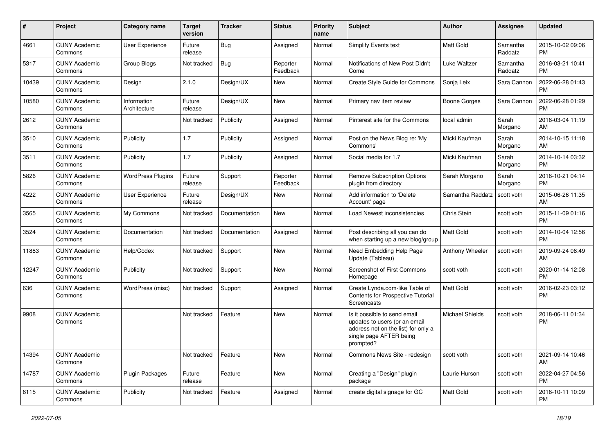| #     | Project                         | <b>Category name</b>        | <b>Target</b><br>version | <b>Tracker</b> | <b>Status</b>        | Priority<br>name | <b>Subject</b>                                                                                                                               | Author           | <b>Assignee</b>     | <b>Updated</b>                |
|-------|---------------------------------|-----------------------------|--------------------------|----------------|----------------------|------------------|----------------------------------------------------------------------------------------------------------------------------------------------|------------------|---------------------|-------------------------------|
| 4661  | <b>CUNY Academic</b><br>Commons | User Experience             | Future<br>release        | <b>Bug</b>     | Assigned             | Normal           | Simplify Events text                                                                                                                         | <b>Matt Gold</b> | Samantha<br>Raddatz | 2015-10-02 09:06<br><b>PM</b> |
| 5317  | <b>CUNY Academic</b><br>Commons | Group Blogs                 | Not tracked              | Bug            | Reporter<br>Feedback | Normal           | Notifications of New Post Didn't<br>Come                                                                                                     | Luke Waltzer     | Samantha<br>Raddatz | 2016-03-21 10:41<br><b>PM</b> |
| 10439 | <b>CUNY Academic</b><br>Commons | Design                      | 2.1.0                    | Design/UX      | New                  | Normal           | Create Style Guide for Commons                                                                                                               | Sonja Leix       | Sara Cannon         | 2022-06-28 01:43<br><b>PM</b> |
| 10580 | <b>CUNY Academic</b><br>Commons | Information<br>Architecture | Future<br>release        | Design/UX      | <b>New</b>           | Normal           | Primary nav item review                                                                                                                      | Boone Gorges     | Sara Cannon         | 2022-06-28 01:29<br><b>PM</b> |
| 2612  | <b>CUNY Academic</b><br>Commons |                             | Not tracked              | Publicity      | Assigned             | Normal           | Pinterest site for the Commons                                                                                                               | local admin      | Sarah<br>Morgano    | 2016-03-04 11:19<br>AM        |
| 3510  | <b>CUNY Academic</b><br>Commons | Publicity                   | 1.7                      | Publicity      | Assigned             | Normal           | Post on the News Blog re: 'My<br>Commons'                                                                                                    | Micki Kaufman    | Sarah<br>Morgano    | 2014-10-15 11:18<br>AM        |
| 3511  | <b>CUNY Academic</b><br>Commons | Publicity                   | 1.7                      | Publicity      | Assigned             | Normal           | Social media for 1.7                                                                                                                         | Micki Kaufman    | Sarah<br>Morgano    | 2014-10-14 03:32<br><b>PM</b> |
| 5826  | <b>CUNY Academic</b><br>Commons | <b>WordPress Plugins</b>    | Future<br>release        | Support        | Reporter<br>Feedback | Normal           | <b>Remove Subscription Options</b><br>plugin from directory                                                                                  | Sarah Morgano    | Sarah<br>Morgano    | 2016-10-21 04:14<br><b>PM</b> |
| 4222  | <b>CUNY Academic</b><br>Commons | <b>User Experience</b>      | Future<br>release        | Design/UX      | New                  | Normal           | Add information to 'Delete<br>Account' page                                                                                                  | Samantha Raddatz | scott voth          | 2015-06-26 11:35<br>AM        |
| 3565  | <b>CUNY Academic</b><br>Commons | My Commons                  | Not tracked              | Documentation  | <b>New</b>           | Normal           | Load Newest inconsistencies                                                                                                                  | Chris Stein      | scott voth          | 2015-11-09 01:16<br><b>PM</b> |
| 3524  | <b>CUNY Academic</b><br>Commons | Documentation               | Not tracked              | Documentation  | Assigned             | Normal           | Post describing all you can do<br>when starting up a new blog/group                                                                          | <b>Matt Gold</b> | scott voth          | 2014-10-04 12:56<br><b>PM</b> |
| 11883 | <b>CUNY Academic</b><br>Commons | Help/Codex                  | Not tracked              | Support        | <b>New</b>           | Normal           | Need Embedding Help Page<br>Update (Tableau)                                                                                                 | Anthony Wheeler  | scott voth          | 2019-09-24 08:49<br>AM        |
| 12247 | <b>CUNY Academic</b><br>Commons | Publicity                   | Not tracked              | Support        | New                  | Normal           | Screenshot of First Commons<br>Homepage                                                                                                      | scott voth       | scott voth          | 2020-01-14 12:08<br><b>PM</b> |
| 636   | <b>CUNY Academic</b><br>Commons | WordPress (misc)            | Not tracked              | Support        | Assigned             | Normal           | Create Lynda.com-like Table of<br>Contents for Prospective Tutorial<br>Screencasts                                                           | <b>Matt Gold</b> | scott voth          | 2016-02-23 03:12<br><b>PM</b> |
| 9908  | <b>CUNY Academic</b><br>Commons |                             | Not tracked              | Feature        | New                  | Normal           | Is it possible to send email<br>updates to users (or an email<br>address not on the list) for only a<br>single page AFTER being<br>prompted? | Michael Shields  | scott voth          | 2018-06-11 01:34<br><b>PM</b> |
| 14394 | <b>CUNY Academic</b><br>Commons |                             | Not tracked              | Feature        | New                  | Normal           | Commons News Site - redesign                                                                                                                 | scott voth       | scott voth          | 2021-09-14 10:46<br>AM        |
| 14787 | <b>CUNY Academic</b><br>Commons | <b>Plugin Packages</b>      | Future<br>release        | Feature        | New                  | Normal           | Creating a "Design" plugin<br>package                                                                                                        | Laurie Hurson    | scott voth          | 2022-04-27 04:56<br><b>PM</b> |
| 6115  | <b>CUNY Academic</b><br>Commons | Publicity                   | Not tracked              | Feature        | Assigned             | Normal           | create digital signage for GC                                                                                                                | Matt Gold        | scott voth          | 2016-10-11 10:09<br>PM        |